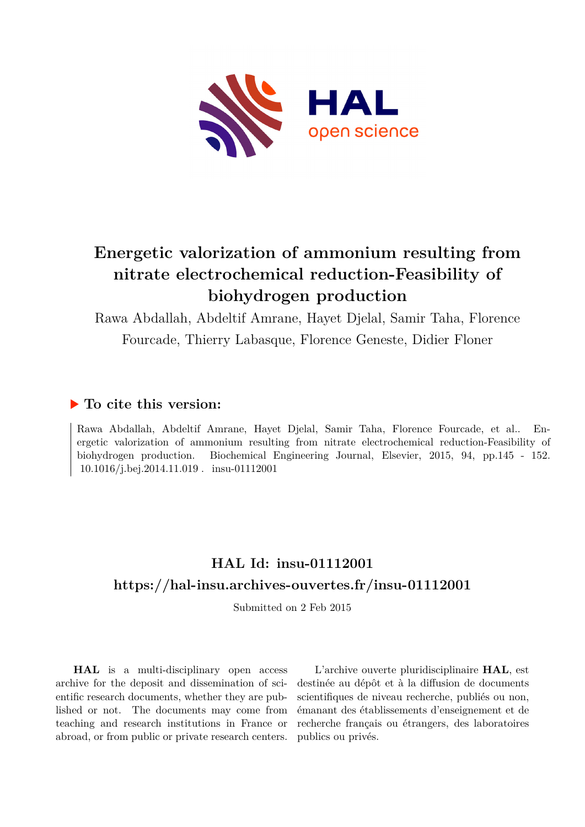

# **Energetic valorization of ammonium resulting from nitrate electrochemical reduction-Feasibility of biohydrogen production**

Rawa Abdallah, Abdeltif Amrane, Hayet Djelal, Samir Taha, Florence Fourcade, Thierry Labasque, Florence Geneste, Didier Floner

# **To cite this version:**

Rawa Abdallah, Abdeltif Amrane, Hayet Djelal, Samir Taha, Florence Fourcade, et al.. Energetic valorization of ammonium resulting from nitrate electrochemical reduction-Feasibility of biohydrogen production. Biochemical Engineering Journal, Elsevier, 2015, 94, pp.145 - 152.  $10.1016$ /i.bei.2014.11.019. insu-01112001

# **HAL Id: insu-01112001 <https://hal-insu.archives-ouvertes.fr/insu-01112001>**

Submitted on 2 Feb 2015

**HAL** is a multi-disciplinary open access archive for the deposit and dissemination of scientific research documents, whether they are published or not. The documents may come from teaching and research institutions in France or abroad, or from public or private research centers.

L'archive ouverte pluridisciplinaire **HAL**, est destinée au dépôt et à la diffusion de documents scientifiques de niveau recherche, publiés ou non, émanant des établissements d'enseignement et de recherche français ou étrangers, des laboratoires publics ou privés.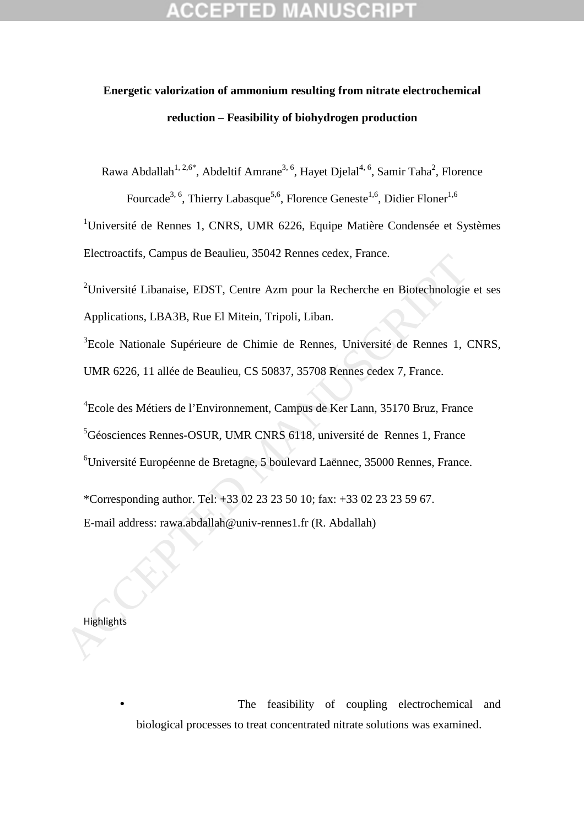# **Energetic valorization of ammonium resulting from nitrate electrochemical reduction – Feasibility of biohydrogen production**

Rawa Abdallah<sup>1, 2,6\*</sup>, Abdeltif Amrane<sup>3, 6</sup>, Hayet Djelal<sup>4, 6</sup>, Samir Taha<sup>2</sup>, Florence

Fourcade<sup>3, 6</sup>, Thierry Labasque<sup>5,6</sup>, Florence Geneste<sup>1,6</sup>, Didier Floner<sup>1,6</sup>

<sup>1</sup>Université de Rennes 1, CNRS, UMR 6226, Equipe Matière Condensée et Systèmes Electroactifs, Campus de Beaulieu, 35042 Rennes cedex, France.

<sup>2</sup>Université Libanaise, EDST, Centre Azm pour la Recherche en Biotechnologie et ses Applications, LBA3B, Rue El Mitein, Tripoli, Liban.

<sup>3</sup>Ecole Nationale Supérieure de Chimie de Rennes, Université de Rennes 1, CNRS, UMR 6226, 11 allée de Beaulieu, CS 50837, 35708 Rennes cedex 7, France.

<sup>4</sup> Ecole des Métiers de l'Environnement, Campus de Ker Lann, 35170 Bruz, France <sup>5</sup>Géosciences Rennes-OSUR, UMR CNRS 6118, université de Rennes 1, France <sup>6</sup>Université Européenne de Bretagne, 5 boulevard Laënnec, 35000 Rennes, France. 2Chiversité Libanaise, EDST, Centre Azm pour la Recherche en Biotechnologie<br>
2Chiversité Libanaise, EDST, Centre Azm pour la Recherche en Biotechnologie<br>
Applications, LBA3B, Rue El Mitein, Tripoli, Liban.<br>
<sup>2</sup>Ecole Nation

\*Corresponding author. Tel: +33 02 23 23 50 10; fax: +33 02 23 23 59 67. E-mail address: rawa.abdallah@univ-rennes1.fr (R. Abdallah)

**Highlights** 

The feasibility of coupling electrochemical and biological processes to treat concentrated nitrate solutions was examined.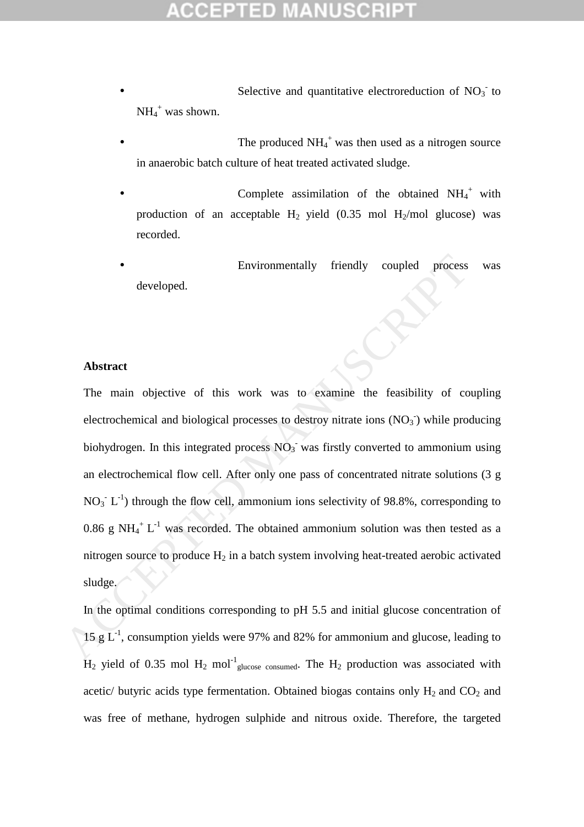- Selective and quantitative electroreduction of  $NO<sub>3</sub>$  to  $NH_4^+$  was shown.
- The produced  $NH_4^+$  was then used as a nitrogen source in anaerobic batch culture of heat treated activated sludge.
- Complete assimilation of the obtained  $NH_4^+$  with production of an acceptable  $H_2$  yield (0.35 mol  $H_2$ /mol glucose) was recorded.
- Environmentally friendly coupled process was developed.

### **Abstract**

The main objective of this work was to examine the feasibility of coupling electrochemical and biological processes to destroy nitrate ions  $(NO<sub>3</sub>)$  while producing biohydrogen. In this integrated process  $NO<sub>3</sub>$  was firstly converted to ammonium using an electrochemical flow cell. After only one pass of concentrated nitrate solutions (3 g  $NO<sub>3</sub><sup>-</sup> L<sup>-1</sup>$ ) through the flow cell, ammonium ions selectivity of 98.8%, corresponding to 0.86 g NH<sub>4</sub><sup>+</sup> L<sup>-1</sup> was recorded. The obtained ammonium solution was then tested as a nitrogen source to produce  $H_2$  in a batch system involving heat-treated aerobic activated sludge. Environmentally friendly coupled process<br>developed.<br>
The main objective of this work was to examine the feasibility of co<br>
electrochemical and biological processes to destroy nitrate ions (NO<sub>3</sub>) while pro<br>
biohydrogen. I

In the optimal conditions corresponding to pH 5.5 and initial glucose concentration of 15 g  $L^{-1}$ , consumption yields were 97% and 82% for ammonium and glucose, leading to  $H_2$  yield of 0.35 mol  $H_2$  mol<sup>-1</sup><sub>glucose consumed</sub>. The  $H_2$  production was associated with acetic/ butyric acids type fermentation. Obtained biogas contains only  $H_2$  and  $CO_2$  and was free of methane, hydrogen sulphide and nitrous oxide. Therefore, the targeted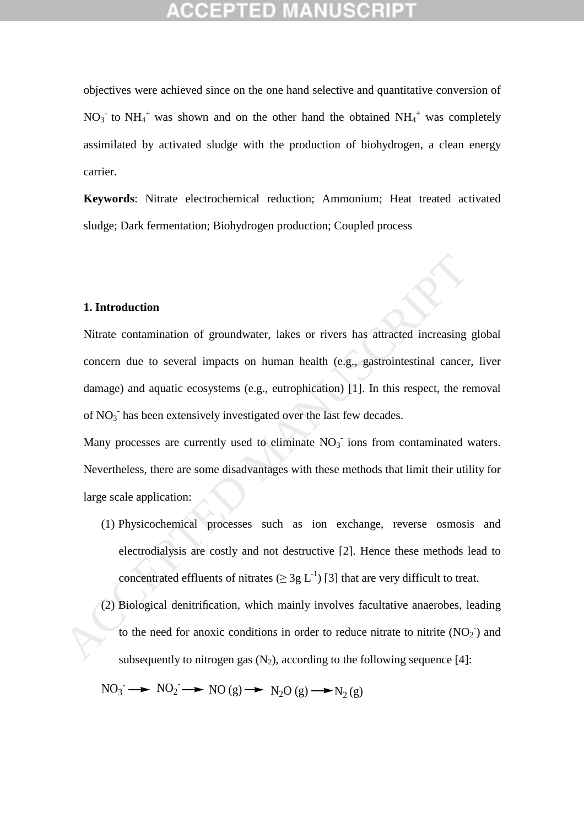objectives were achieved since on the one hand selective and quantitative conversion of  $NO_3$ <sup>-</sup> to  $NH_4$ <sup>+</sup> was shown and on the other hand the obtained  $NH_4$ <sup>+</sup> was completely assimilated by activated sludge with the production of biohydrogen, a clean energy carrier.

**Keywords**: Nitrate electrochemical reduction; Ammonium; Heat treated activated sludge; Dark fermentation; Biohydrogen production; Coupled process

### **1. Introduction**

Nitrate contamination of groundwater, lakes or rivers has attracted increasing global concern due to several impacts on human health (e.g., gastrointestinal cancer, liver damage) and aquatic ecosystems (e.g., eutrophication) [1]. In this respect, the removal of NO<sub>3</sub> has been extensively investigated over the last few decades. **1. Introduction**<br>
Nitrate contamination of groundwater, lakes or rivers has attracted increasing<br>
concern due to several impacts on human health (e.g., gastrointestinal cancer<br>
damage) and aquatic ecosystems (e.g., eutro

Many processes are currently used to eliminate  $NO<sub>3</sub>$  ions from contaminated waters. Nevertheless, there are some disadvantages with these methods that limit their utility for large scale application:

- (1) Physicochemical processes such as ion exchange, reverse osmosis and electrodialysis are costly and not destructive [2]. Hence these methods lead to concentrated effluents of nitrates ( $\geq 3g L^{-1}$ ) [3] that are very difficult to treat.
- (2) Biological denitrification, which mainly involves facultative anaerobes, leading to the need for anoxic conditions in order to reduce nitrate to nitrite  $(NO<sub>2</sub>)$  and subsequently to nitrogen gas  $(N_2)$ , according to the following sequence [4]:

 $NO_3^- \longrightarrow NO_2^- \longrightarrow NO(g) \longrightarrow N_2O(g) \longrightarrow N_2(g)$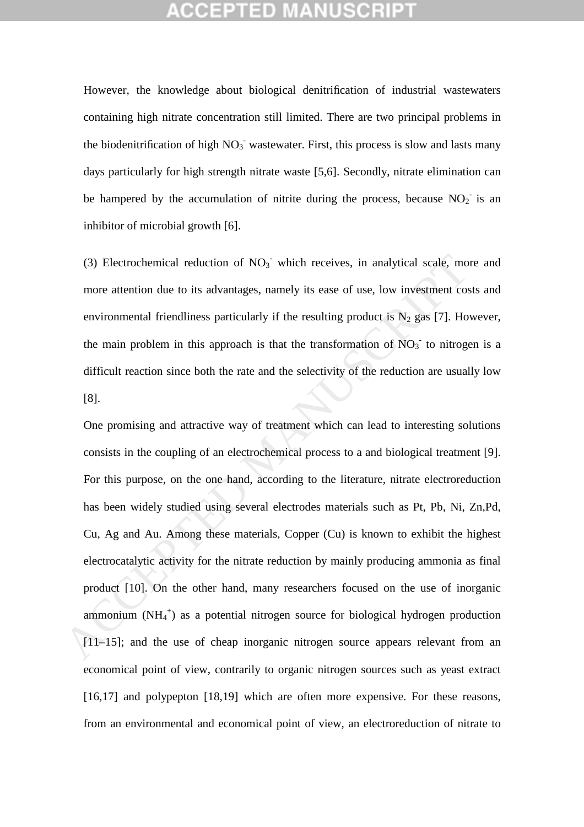However, the knowledge about biological denitrification of industrial wastewaters containing high nitrate concentration still limited. There are two principal problems in the biodenitrification of high  $NO<sub>3</sub>$  wastewater. First, this process is slow and lasts many days particularly for high strength nitrate waste [5,6]. Secondly, nitrate elimination can be hampered by the accumulation of nitrite during the process, because  $NO_2$  is an inhibitor of microbial growth [6].

(3) Electrochemical reduction of  $NO<sub>3</sub>$  which receives, in analytical scale, more and more attention due to its advantages, namely its ease of use, low investment costs and environmental friendliness particularly if the resulting product is  $N_2$  gas [7]. However, the main problem in this approach is that the transformation of  $NO<sub>3</sub>$  to nitrogen is a difficult reaction since both the rate and the selectivity of the reduction are usually low [8].

One promising and attractive way of treatment which can lead to interesting solutions consists in the coupling of an electrochemical process to a and biological treatment [9]. For this purpose, on the one hand, according to the literature, nitrate electroreduction has been widely studied using several electrodes materials such as Pt, Pb, Ni, Zn,Pd, Cu, Ag and Au. Among these materials, Copper (Cu) is known to exhibit the highest electrocatalytic activity for the nitrate reduction by mainly producing ammonia as final product [10]. On the other hand, many researchers focused on the use of inorganic ammonium  $(NH_4^+)$  as a potential nitrogen source for biological hydrogen production [11–15]; and the use of cheap inorganic nitrogen source appears relevant from an economical point of view, contrarily to organic nitrogen sources such as yeast extract [16,17] and polypepton [18,19] which are often more expensive. For these reasons, from an environmental and economical point of view, an electroreduction of nitrate to (3) Electrochemical reduction of NO<sub>3</sub><sup>-</sup> which receives, in analytical scale, mo<br>more attention due to its advantages, namely its ease of use, low investment co<br>environmental friendliness particularly if the resulting pr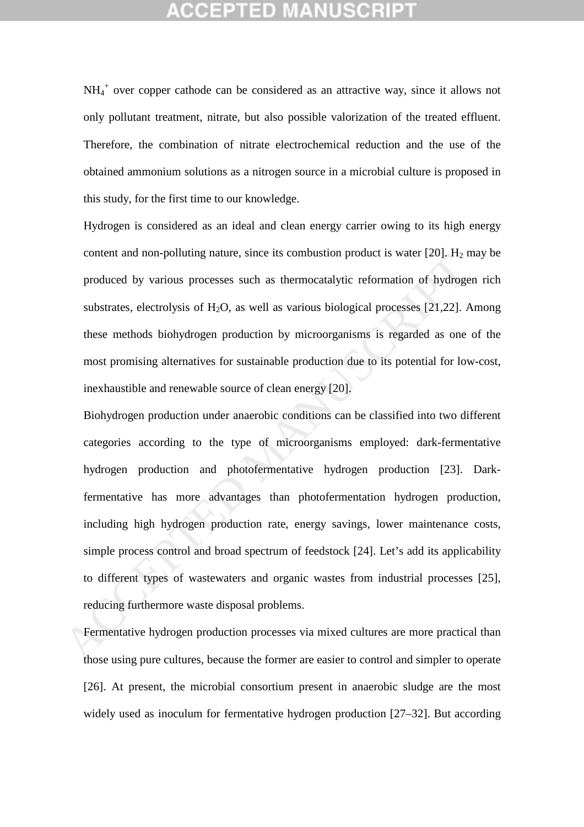NH<sub>4</sub><sup>+</sup> over copper cathode can be considered as an attractive way, since it allows not only pollutant treatment, nitrate, but also possible valorization of the treated effluent. Therefore, the combination of nitrate electrochemical reduction and the use of the obtained ammonium solutions as a nitrogen source in a microbial culture is proposed in this study, for the first time to our knowledge.

Hydrogen is considered as an ideal and clean energy carrier owing to its high energy content and non-polluting nature, since its combustion product is water  $[20]$ . H<sub>2</sub> may be produced by various processes such as thermocatalytic reformation of hydrogen rich substrates, electrolysis of  $H_2O$ , as well as various biological processes [21,22]. Among these methods biohydrogen production by microorganisms is regarded as one of the most promising alternatives for sustainable production due to its potential for low-cost, inexhaustible and renewable source of clean energy [20].

Biohydrogen production under anaerobic conditions can be classified into two different categories according to the type of microorganisms employed: dark-fermentative hydrogen production and photofermentative hydrogen production [23]. Darkfermentative has more advantages than photofermentation hydrogen production, including high hydrogen production rate, energy savings, lower maintenance costs, simple process control and broad spectrum of feedstock [24]. Let's add its applicability to different types of wastewaters and organic wastes from industrial processes [25], reducing furthermore waste disposal problems. content and interpolaring indice, since its comoustion product is water [20]. Its produced by various processes such as thermocatalytic reformation of hydroge substrates, electrolysis of H<sub>2</sub>O, as well as various biologic

Fermentative hydrogen production processes via mixed cultures are more practical than those using pure cultures, because the former are easier to control and simpler to operate [26]. At present, the microbial consortium present in anaerobic sludge are the most widely used as inoculum for fermentative hydrogen production [27–32]. But according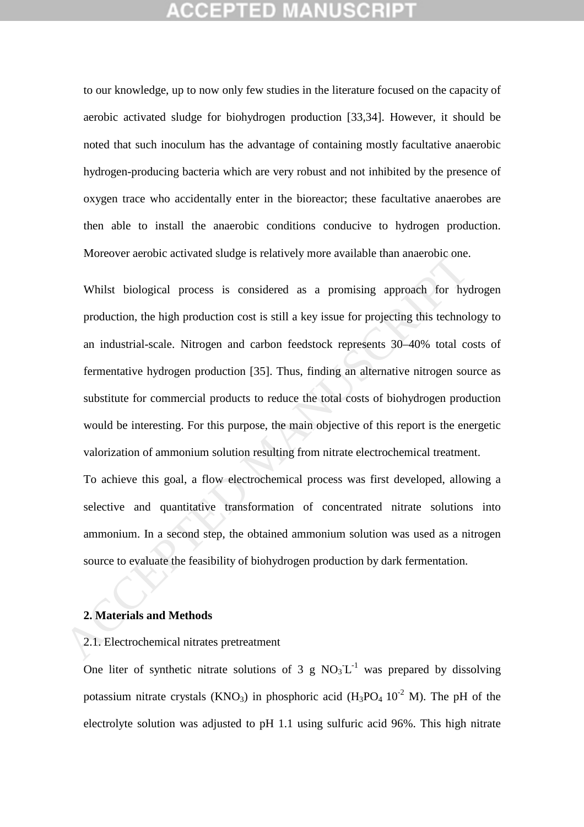to our knowledge, up to now only few studies in the literature focused on the capacity of aerobic activated sludge for biohydrogen production [33,34]. However, it should be noted that such inoculum has the advantage of containing mostly facultative anaerobic hydrogen-producing bacteria which are very robust and not inhibited by the presence of oxygen trace who accidentally enter in the bioreactor; these facultative anaerobes are then able to install the anaerobic conditions conducive to hydrogen production. Moreover aerobic activated sludge is relatively more available than anaerobic one.

Whilst biological process is considered as a promising approach for hydrogen production, the high production cost is still a key issue for projecting this technology to an industrial-scale. Nitrogen and carbon feedstock represents 30–40% total costs of fermentative hydrogen production [35]. Thus, finding an alternative nitrogen source as substitute for commercial products to reduce the total costs of biohydrogen production would be interesting. For this purpose, the main objective of this report is the energetic valorization of ammonium solution resulting from nitrate electrochemical treatment. Moleovel aerool activated slouge is relatively into elastable ulari antectool one.<br>
Whilst biological process is considered as a promising approach for hyproduction, the high production cost is still a key issue for projec

To achieve this goal, a flow electrochemical process was first developed, allowing a selective and quantitative transformation of concentrated nitrate solutions into ammonium. In a second step, the obtained ammonium solution was used as a nitrogen source to evaluate the feasibility of biohydrogen production by dark fermentation.

### **2. Materials and Methods**

## 2.1. Electrochemical nitrates pretreatment

One liter of synthetic nitrate solutions of 3 g  $NO<sub>3</sub>^-L^{-1}$  was prepared by dissolving potassium nitrate crystals (KNO<sub>3</sub>) in phosphoric acid (H<sub>3</sub>PO<sub>4</sub> 10<sup>-2</sup> M). The pH of the electrolyte solution was adjusted to pH 1.1 using sulfuric acid 96%. This high nitrate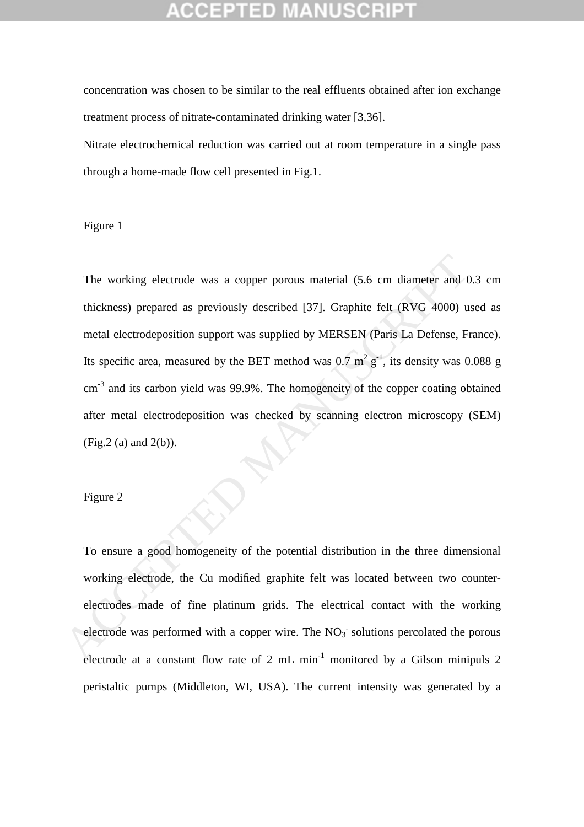concentration was chosen to be similar to the real effluents obtained after ion exchange treatment process of nitrate-contaminated drinking water [3,36].

Nitrate electrochemical reduction was carried out at room temperature in a single pass through a home-made flow cell presented in Fig.1.

### Figure 1

The working electrode was a copper porous material (5.6 cm diameter and 0.3 cm thickness) prepared as previously described [37]. Graphite felt (RVG 4000) used as metal electrodeposition support was supplied by MERSEN (Paris La Defense, France). Its specific area, measured by the BET method was  $0.7 \text{ m}^2 \text{ g}^{-1}$ , its density was  $0.088 \text{ g}$ cm<sup>-3</sup> and its carbon yield was 99.9%. The homogeneity of the copper coating obtained after metal electrodeposition was checked by scanning electron microscopy (SEM) (Fig.2 (a) and 2(b)). The working electrode was a copper porous material (5.6 cm diameter and (<br>thickness) prepared as previously described [37]. Graphite felt (RVG 4000) u<br>metal electrodeposition support was supplied by MERSEN (Paris La Defen

### Figure 2

To ensure a good homogeneity of the potential distribution in the three dimensional working electrode, the Cu modified graphite felt was located between two counterelectrodes made of fine platinum grids. The electrical contact with the working electrode was performed with a copper wire. The  $NO<sub>3</sub>$  solutions percolated the porous electrode at a constant flow rate of 2 mL min<sup>-1</sup> monitored by a Gilson minipuls 2 peristaltic pumps (Middleton, WI, USA). The current intensity was generated by a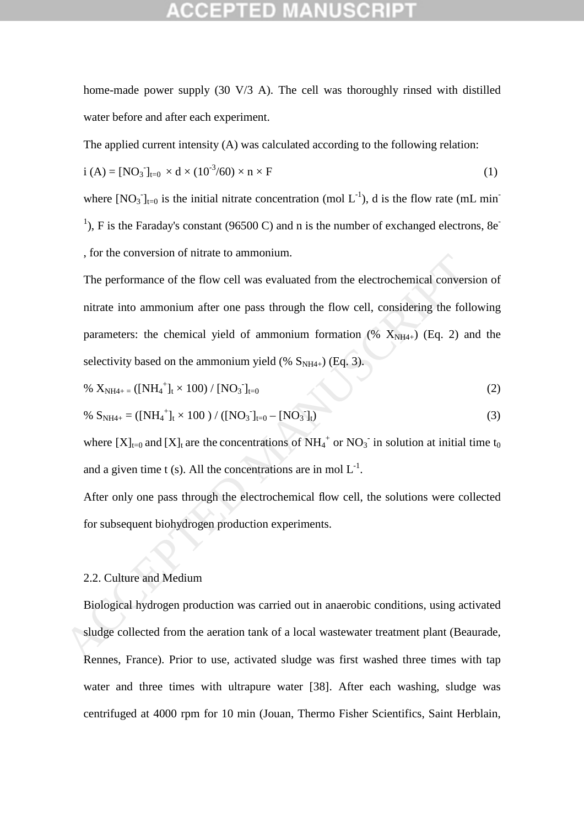home-made power supply (30 V/3 A). The cell was thoroughly rinsed with distilled water before and after each experiment.

The applied current intensity (A) was calculated according to the following relation:

$$
i (A) = [NO3]t=0 × d × (10-3/60) × n × F
$$
 (1)

where  $[NO_3]_{t=0}$  is the initial nitrate concentration (mol  $L^{-1}$ ), d is the flow rate (mL min<sup>-</sup> <sup>1</sup>), F is the Faraday's constant (96500 C) and n is the number of exchanged electrons, 8e<sup>-</sup> , for the conversion of nitrate to ammonium.

The performance of the flow cell was evaluated from the electrochemical conversion of nitrate into ammonium after one pass through the flow cell, considering the following parameters: the chemical yield of ammonium formation  $(\% X_{NH4+})$  (Eq. 2) and the selectivity based on the ammonium yield (%  $S_{NH4+}$ ) (Eq. 3). The performance of the flow cell was evaluated from the electrochemical conver-<br>nitrate into ammonium after one pass through the flow cell, considering the foll<br>parameters: the chemical yield of ammonium formation (%  $X_{N$ 

% 
$$
X_{NH4+} = ([NH_4^+]t \times 100) / [NO_3^-]_{t=0}
$$
 (2)

% SNH4+ = ([NH<sup>4</sup> + ]t × 100 ) / ([NO<sup>3</sup> - ]t=0 – [NO<sup>3</sup> - ]t) (3)

where  $[X]_{t=0}$  and  $[X]_t$  are the concentrations of NH<sub>4</sub><sup>+</sup> or NO<sub>3</sub><sup>-</sup> in solution at initial time t<sub>0</sub> and a given time t (s). All the concentrations are in mol  $L^{-1}$ .

After only one pass through the electrochemical flow cell, the solutions were collected for subsequent biohydrogen production experiments.

### 2.2. Culture and Medium

Biological hydrogen production was carried out in anaerobic conditions, using activated sludge collected from the aeration tank of a local wastewater treatment plant (Beaurade, Rennes, France). Prior to use, activated sludge was first washed three times with tap water and three times with ultrapure water [38]. After each washing, sludge was centrifuged at 4000 rpm for 10 min (Jouan, Thermo Fisher Scientifics, Saint Herblain,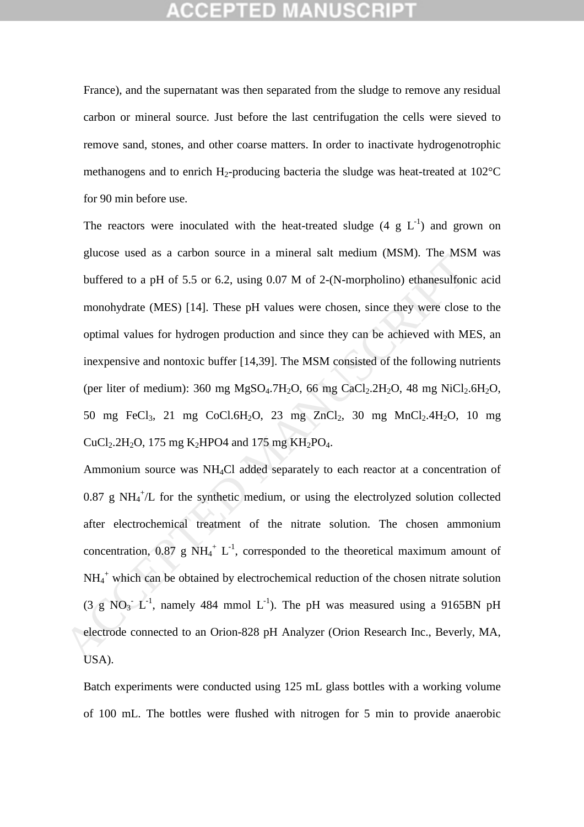France), and the supernatant was then separated from the sludge to remove any residual carbon or mineral source. Just before the last centrifugation the cells were sieved to remove sand, stones, and other coarse matters. In order to inactivate hydrogenotrophic methanogens and to enrich  $H_2$ -producing bacteria the sludge was heat-treated at 102 $^{\circ}$ C for 90 min before use.

The reactors were inoculated with the heat-treated sludge  $(4 \text{ g } L^{-1})$  and grown on glucose used as a carbon source in a mineral salt medium (MSM). The MSM was buffered to a pH of 5.5 or 6.2, using 0.07 M of 2-(N-morpholino) ethanesulfonic acid monohydrate (MES) [14]. These pH values were chosen, since they were close to the optimal values for hydrogen production and since they can be achieved with MES, an inexpensive and nontoxic buffer [14,39]. The MSM consisted of the following nutrients (per liter of medium):  $360$  mg MgSO<sub>4</sub>.7H<sub>2</sub>O, 66 mg CaCl<sub>2</sub>.2H<sub>2</sub>O, 48 mg NiCl<sub>2</sub>.6H<sub>2</sub>O, 50 mg FeCl<sub>3</sub>, 21 mg CoCl.6H<sub>2</sub>O, 23 mg ZnCl<sub>2</sub>, 30 mg MnCl<sub>2</sub>.4H<sub>2</sub>O, 10 mg  $CuCl<sub>2</sub>.2H<sub>2</sub>O$ , 175 mg K<sub>2</sub>HPO4 and 175 mg KH<sub>2</sub>PO<sub>4</sub>.

Ammonium source was NH4Cl added separately to each reactor at a concentration of  $0.87$  g NH $_4^+$ /L for the synthetic medium, or using the electrolyzed solution collected after electrochemical treatment of the nitrate solution. The chosen ammonium concentration, 0.87 g NH<sub>4</sub><sup>+</sup> L<sup>-1</sup>, corresponded to the theoretical maximum amount of NH<sub>4</sub><sup>+</sup> which can be obtained by electrochemical reduction of the chosen nitrate solution  $(3 \text{ g NO}_3 \text{ L}^{-1})$ , namely 484 mmol L<sup>-1</sup>). The pH was measured using a 9165BN pH electrode connected to an Orion-828 pH Analyzer (Orion Research Inc., Beverly, MA, USA). guation as a canoni source in a mineral satt incutually (Wisw). The swist<br>buffered to a pH of 5.5 or 6.2, using 0.07 M of 2-(N-morpholino) ethanesulfor<br>monohydrate (MES) [14]. These pH values were chosen, since they were

Batch experiments were conducted using 125 mL glass bottles with a working volume of 100 mL. The bottles were flushed with nitrogen for 5 min to provide anaerobic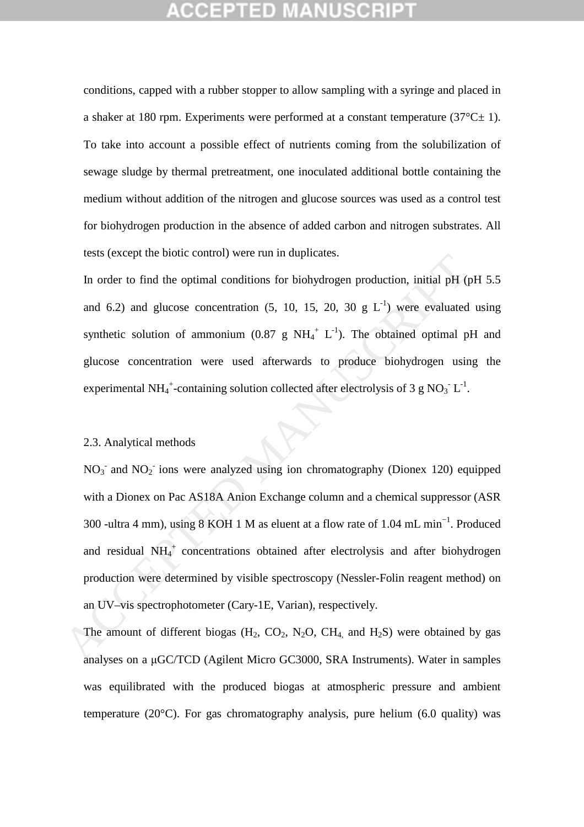conditions, capped with a rubber stopper to allow sampling with a syringe and placed in a shaker at 180 rpm. Experiments were performed at a constant temperature  $(37^{\circ}C \pm 1)$ . To take into account a possible effect of nutrients coming from the solubilization of sewage sludge by thermal pretreatment, one inoculated additional bottle containing the medium without addition of the nitrogen and glucose sources was used as a control test for biohydrogen production in the absence of added carbon and nitrogen substrates. All tests (except the biotic control) were run in duplicates.

In order to find the optimal conditions for biohydrogen production, initial pH (pH 5.5 and 6.2) and glucose concentration (5, 10, 15, 20, 30 g  $L^{-1}$ ) were evaluated using synthetic solution of ammonium  $(0.87 \text{ g } NH_4^+ L^{-1})$ . The obtained optimal pH and glucose concentration were used afterwards to produce biohydrogen using the experimental NH<sub>4</sub><sup>+</sup>-containing solution collected after electrolysis of 3 g NO<sub>3</sub><sup>-</sup>L<sup>-1</sup>.

### 2.3. Analytical methods

 $NO<sub>3</sub>$  and  $NO<sub>2</sub>$  ions were analyzed using ion chromatography (Dionex 120) equipped with a Dionex on Pac AS18A Anion Exchange column and a chemical suppressor (ASR 300 -ultra 4 mm), using 8 KOH 1 M as eluent at a flow rate of 1.04 mL min−1. Produced and residual  $NH_4^+$  concentrations obtained after electrolysis and after biohydrogen production were determined by visible spectroscopy (Nessler-Folin reagent method) on an UV–vis spectrophotometer (Cary-1E, Varian), respectively. In order to find the optimal conditions for biohydrogen production, initial pH (<br>and 6.2) and glucose concentration (5, 10, 15, 20, 30 g L<sup>+)</sup> were evaluated<br>synthetic solution of ammonium (0.87 g NH<sub>4</sub><sup>+</sup> L<sup>+</sup>). The obta

The amount of different biogas  $(H_2, CO_2, N_2O, CH_4, and H_2S)$  were obtained by gas analyses on a µGC/TCD (Agilent Micro GC3000, SRA Instruments). Water in samples was equilibrated with the produced biogas at atmospheric pressure and ambient temperature (20 $^{\circ}$ C). For gas chromatography analysis, pure helium (6.0 quality) was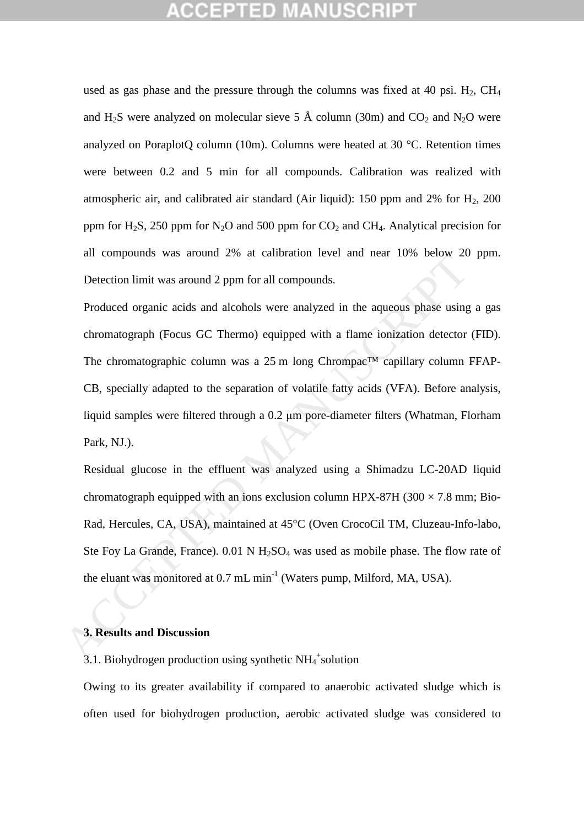used as gas phase and the pressure through the columns was fixed at 40 psi.  $H_2$ , CH<sub>4</sub> and H<sub>2</sub>S were analyzed on molecular sieve 5 Å column (30m) and CO<sub>2</sub> and N<sub>2</sub>O were analyzed on PoraplotQ column (10m). Columns were heated at 30 °C. Retention times were between 0.2 and 5 min for all compounds. Calibration was realized with atmospheric air, and calibrated air standard (Air liquid): 150 ppm and 2% for  $H<sub>2</sub>$ , 200 ppm for  $H_2S$ , 250 ppm for  $N_2O$  and 500 ppm for  $CO_2$  and  $CH_4$ . Analytical precision for all compounds was around 2% at calibration level and near 10% below 20 ppm. Detection limit was around 2 ppm for all compounds.

Produced organic acids and alcohols were analyzed in the aqueous phase using a gas chromatograph (Focus GC Thermo) equipped with a flame ionization detector (FID). The chromatographic column was a 25 m long Chrompac™ capillary column FFAP-CB, specially adapted to the separation of volatile fatty acids (VFA). Before analysis, liquid samples were filtered through a 0.2 µm pore-diameter filters (Whatman, Florham Park, NJ.). an compounts was abound 2,6 at cantonaton lever and near 10.6 below 20<br>Detection limit was around 2 ppm for all compounds.<br>Produced organic acids and alcohols were analyzed in the aqueous phase using<br>chromatograph (Focus

Residual glucose in the effluent was analyzed using a Shimadzu LC-20AD liquid chromatograph equipped with an ions exclusion column HPX-87H (300  $\times$  7.8 mm; Bio-Rad, Hercules, CA, USA), maintained at 45°C (Oven CrocoCil TM, Cluzeau-Info-labo, Ste Foy La Grande, France).  $0.01 \text{ N H}_2\text{SO}_4$  was used as mobile phase. The flow rate of the eluant was monitored at  $0.7 \text{ mL min}^{-1}$  (Waters pump, Milford, MA, USA).

### **3. Results and Discussion**

3.1. Biohydrogen production using synthetic  $NH_4^+$ solution

Owing to its greater availability if compared to anaerobic activated sludge which is often used for biohydrogen production, aerobic activated sludge was considered to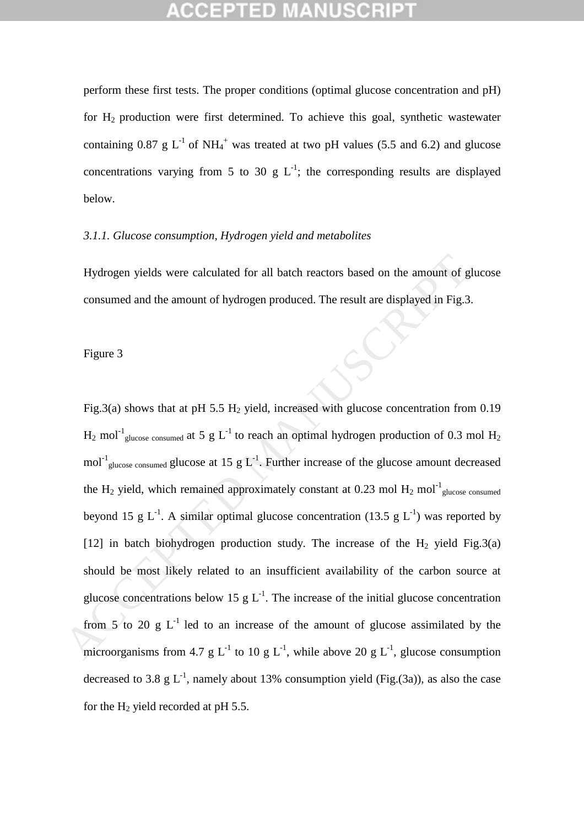perform these first tests. The proper conditions (optimal glucose concentration and pH) for  $H_2$  production were first determined. To achieve this goal, synthetic wastewater containing 0.87 g  $L^{-1}$  of NH<sub>4</sub><sup>+</sup> was treated at two pH values (5.5 and 6.2) and glucose concentrations varying from 5 to 30 g  $L^{-1}$ ; the corresponding results are displayed below.

## *3.1.1. Glucose consumption, Hydrogen yield and metabolites*

Hydrogen yields were calculated for all batch reactors based on the amount of glucose consumed and the amount of hydrogen produced. The result are displayed in Fig.3.

Figure 3

Fig.3(a) shows that at pH 5.5 H<sub>2</sub> yield, increased with glucose concentration from 0.19  $H_2$  mol<sup>-1</sup><sub>glucose consumed</sub> at 5 g L<sup>-1</sup> to reach an optimal hydrogen production of 0.3 mol  $H_2$ mol<sup>-1</sup><sub>glucose consumed</sub> glucose at 15 g L<sup>-1</sup>. Further increase of the glucose amount decreased the H<sub>2</sub> yield, which remained approximately constant at 0.23 mol H<sub>2</sub> mol<sup>-1</sup><sub>glucose consumed</sub> beyond 15 g L<sup>-1</sup>. A similar optimal glucose concentration (13.5 g L<sup>-1</sup>) was reported by [12] in batch biohydrogen production study. The increase of the  $H_2$  yield Fig.3(a) should be most likely related to an insufficient availability of the carbon source at glucose concentrations below 15 g  $L^{-1}$ . The increase of the initial glucose concentration from  $5$  to 20 g L<sup>-1</sup> led to an increase of the amount of glucose assimilated by the microorganisms from 4.7 g L<sup>-1</sup> to 10 g L<sup>-1</sup>, while above 20 g L<sup>-1</sup>, glucose consumption decreased to 3.8 g  $L^{-1}$ , namely about 13% consumption yield (Fig.(3a)), as also the case for the  $H_2$  yield recorded at pH 5.5. Hydrogen yields were calculated for all batch reactors based on the amount of g<br>consumed and the amount of hydrogen produced. The result are displayed in Fig.3<br>Figure 3<br>Fig.3(a) shows that at pH 5.5 H<sub>2</sub> yield, increased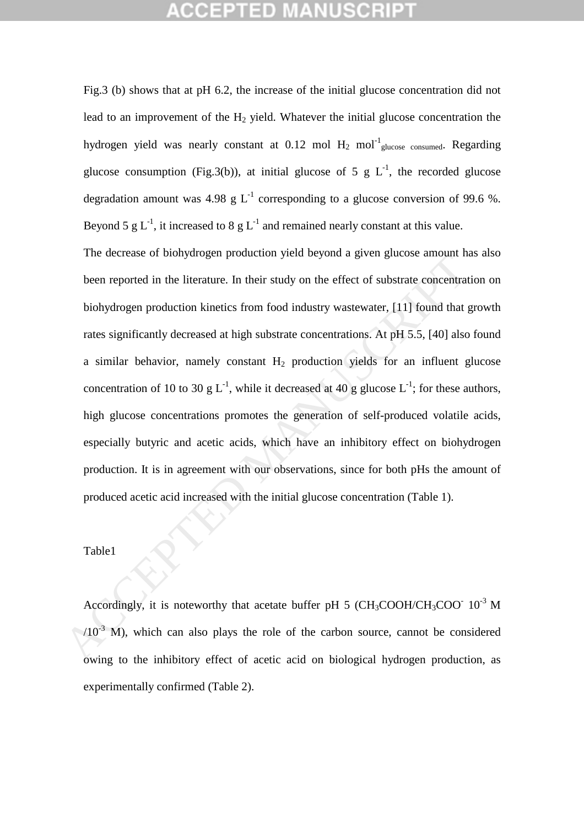Fig.3 (b) shows that at pH 6.2, the increase of the initial glucose concentration did not lead to an improvement of the  $H_2$  yield. Whatever the initial glucose concentration the hydrogen yield was nearly constant at  $0.12 \text{ mol H}_2 \text{ mol}^{-1}$ <sub>glucose consumed</sub>. Regarding glucose consumption (Fig.3(b)), at initial glucose of 5 g  $L^{-1}$ , the recorded glucose degradation amount was 4.98 g  $L^{-1}$  corresponding to a glucose conversion of 99.6 %. Beyond 5 g  $L^{-1}$ , it increased to 8 g  $L^{-1}$  and remained nearly constant at this value.

The decrease of biohydrogen production yield beyond a given glucose amount has also been reported in the literature. In their study on the effect of substrate concentration on biohydrogen production kinetics from food industry wastewater, [11] found that growth rates significantly decreased at high substrate concentrations. At pH 5.5, [40] also found a similar behavior, namely constant  $H<sub>2</sub>$  production yields for an influent glucose concentration of 10 to 30 g L<sup>-1</sup>, while it decreased at 40 g glucose L<sup>-1</sup>; for these authors, high glucose concentrations promotes the generation of self-produced volatile acids, especially butyric and acetic acids, which have an inhibitory effect on biohydrogen production. It is in agreement with our observations, since for both pHs the amount of produced acetic acid increased with the initial glucose concentration (Table 1). The accrease of biological production yield beyond a given gracists amount in<br>been reported in the literature. In their study on the effect of substrate concentrat<br>biohydrogen production kinetics from food industry wastew

### Table1

Accordingly, it is noteworthy that acetate buffer pH 5 (CH<sub>3</sub>COOH/CH<sub>3</sub>COO<sup>-</sup> 10<sup>-3</sup> M  $/10^{-3}$  M), which can also plays the role of the carbon source, cannot be considered owing to the inhibitory effect of acetic acid on biological hydrogen production, as experimentally confirmed (Table 2).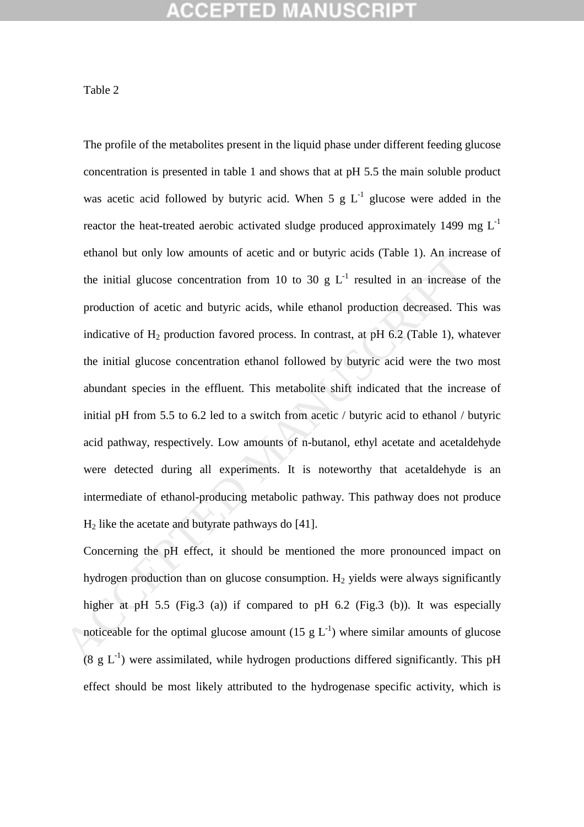### Table 2

The profile of the metabolites present in the liquid phase under different feeding glucose concentration is presented in table 1 and shows that at pH 5.5 the main soluble product was acetic acid followed by butyric acid. When  $5 \text{ g L}^{-1}$  glucose were added in the reactor the heat-treated aerobic activated sludge produced approximately 1499 mg  $L^{-1}$ ethanol but only low amounts of acetic and or butyric acids (Table 1). An increase of the initial glucose concentration from 10 to 30 g  $L^{-1}$  resulted in an increase of the production of acetic and butyric acids, while ethanol production decreased. This was indicative of  $H_2$  production favored process. In contrast, at pH 6.2 (Table 1), whatever the initial glucose concentration ethanol followed by butyric acid were the two most abundant species in the effluent. This metabolite shift indicated that the increase of initial pH from 5.5 to 6.2 led to a switch from acetic / butyric acid to ethanol / butyric acid pathway, respectively. Low amounts of n-butanol, ethyl acetate and acetaldehyde were detected during all experiments. It is noteworthy that acetaldehyde is an intermediate of ethanol-producing metabolic pathway. This pathway does not produce  $H<sub>2</sub>$  like the acetate and butyrate pathways do [41]. enanotion only tow amounts of accele and of buryth actas (rank 1). An interest<br>the initial glucose concentration from 10 to 30 g L<sup>-1</sup> resulted in an increase<br>production of acetic and burytic acids, while ethanol producti

Concerning the pH effect, it should be mentioned the more pronounced impact on hydrogen production than on glucose consumption.  $H_2$  yields were always significantly higher at pH 5.5 (Fig.3 (a)) if compared to pH 6.2 (Fig.3 (b)). It was especially noticeable for the optimal glucose amount (15 g  $L^{-1}$ ) where similar amounts of glucose  $(8 \text{ g } L^{-1})$  were assimilated, while hydrogen productions differed significantly. This pH effect should be most likely attributed to the hydrogenase specific activity, which is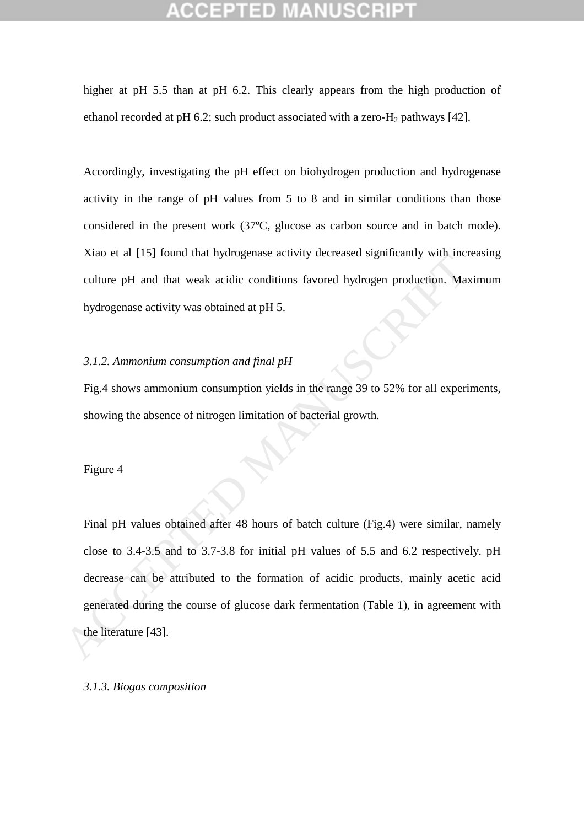higher at pH 5.5 than at pH 6.2. This clearly appears from the high production of ethanol recorded at pH 6.2; such product associated with a zero- $H_2$  pathways [42].

Accordingly, investigating the pH effect on biohydrogen production and hydrogenase activity in the range of pH values from 5 to 8 and in similar conditions than those considered in the present work (37ºC, glucose as carbon source and in batch mode). Xiao et al [15] found that hydrogenase activity decreased significantly with increasing culture pH and that weak acidic conditions favored hydrogen production. Maximum hydrogenase activity was obtained at pH 5.

### *3.1.2. Ammonium consumption and final pH*

Fig.4 shows ammonium consumption yields in the range 39 to 52% for all experiments, showing the absence of nitrogen limitation of bacterial growth.

Figure 4

Final pH values obtained after 48 hours of batch culture (Fig.4) were similar, namely close to 3.4-3.5 and to 3.7-3.8 for initial pH values of 5.5 and 6.2 respectively. pH decrease can be attributed to the formation of acidic products, mainly acetic acid generated during the course of glucose dark fermentation (Table 1), in agreement with the literature [43]. Acceleration of Hart weak activity decreased signing with meta-<br>
enture pH and that weak acidic conditions favored hydrogen production. May<br>
hydrogenase activity was obtained at pH 5.<br>  $\frac{3}{2}$ . A. A. A. A. A. A. A. A. A

### *3.1.3. Biogas composition*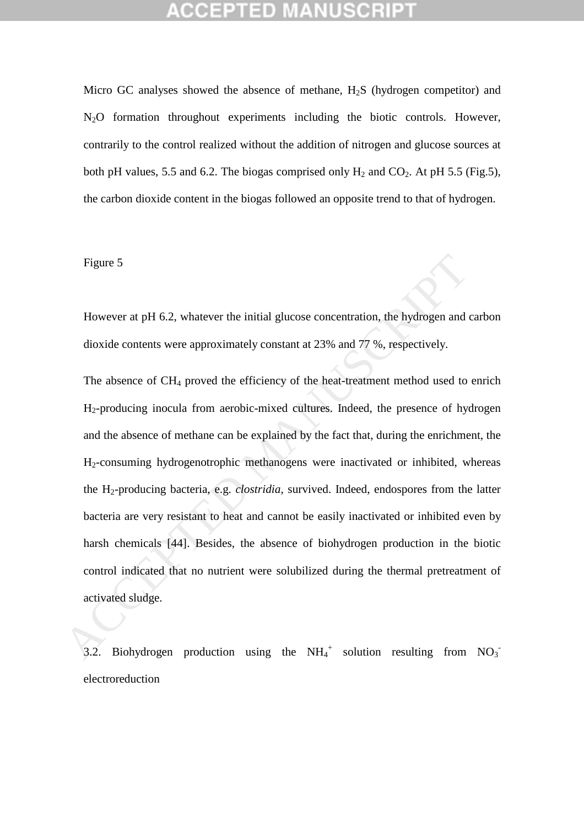Micro GC analyses showed the absence of methane,  $H_2S$  (hydrogen competitor) and N<sub>2</sub>O formation throughout experiments including the biotic controls. However, contrarily to the control realized without the addition of nitrogen and glucose sources at both pH values, 5.5 and 6.2. The biogas comprised only  $H_2$  and  $CO_2$ . At pH 5.5 (Fig.5), the carbon dioxide content in the biogas followed an opposite trend to that of hydrogen.

### Figure 5

However at pH 6.2, whatever the initial glucose concentration, the hydrogen and carbon dioxide contents were approximately constant at 23% and 77 %, respectively.

The absence of CH<sub>4</sub> proved the efficiency of the heat-treatment method used to enrich H2-producing inocula from aerobic-mixed cultures. Indeed, the presence of hydrogen and the absence of methane can be explained by the fact that, during the enrichment, the H2-consuming hydrogenotrophic methanogens were inactivated or inhibited, whereas the H2-producing bacteria, e.g. *clostridia*, survived. Indeed, endospores from the latter bacteria are very resistant to heat and cannot be easily inactivated or inhibited even by harsh chemicals [44]. Besides, the absence of biohydrogen production in the biotic control indicated that no nutrient were solubilized during the thermal pretreatment of activated sludge. Figure 5<br>However at pH 6.2, whatever the initial glucose concentration, the hydrogen and<br>dioxide contents were approximately constant at 23% and 77 %, respectively.<br>The absence of CH<sub>4</sub> proved the efficiency of the heat-t

3.2. Biohydrogen production using the  $NH_4^+$  solution resulting from  $NO_3^$ electroreduction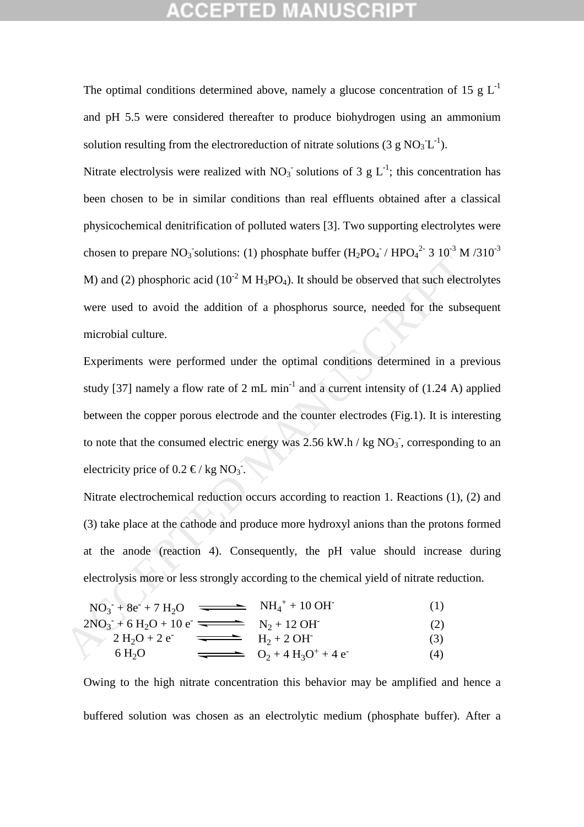The optimal conditions determined above, namely a glucose concentration of 15 g  $L^{-1}$ and pH 5.5 were considered thereafter to produce biohydrogen using an ammonium solution resulting from the electroreduction of nitrate solutions (3 g  $NO<sub>3</sub> L<sup>-1</sup>$ ).

Nitrate electrolysis were realized with  $NO_3^-$  solutions of 3 g  $L^{-1}$ ; this concentration has been chosen to be in similar conditions than real effluents obtained after a classical physicochemical denitrification of polluted waters [3]. Two supporting electrolytes were chosen to prepare NO<sub>3</sub> solutions: (1) phosphate buffer  $(H_2PO_4^-/ HPO_4^{2-}3 10^{-3} M/310^{-3}$ M) and (2) phosphoric acid ( $10^{-2}$  M H<sub>3</sub>PO<sub>4</sub>). It should be observed that such electrolytes were used to avoid the addition of a phosphorus source, needed for the subsequent microbial culture.

Experiments were performed under the optimal conditions determined in a previous study [37] namely a flow rate of 2 mL min<sup>-1</sup> and a current intensity of  $(1.24 \text{ A})$  applied between the copper porous electrode and the counter electrodes (Fig.1). It is interesting to note that the consumed electric energy was  $2.56$  kW.h / kg  $NO<sub>3</sub>$ , corresponding to an electricity price of  $0.2 \in / \text{kg} \text{NQ}$ . ACCEPTED MANUSE CONSULTER (1913) AT AND MANUSCRIPT DURING THE USE AND MULTIMET MANUSCRIPT AND MULTIMET MANUSCRIPT WAS ARREVENT OF 3 TO MEANUSCRIPT WITHOUT SEXPERIENTIES were performed under the optimal conditions determin

Nitrate electrochemical reduction occurs according to reaction 1. Reactions (1), (2) and (3) take place at the cathode and produce more hydroxyl anions than the protons formed at the anode (reaction 4). Consequently, the pH value should increase during electrolysis more or less strongly according to the chemical yield of nitrate reduction.

$$
NO_3^- + 8e^- + 7H_2O \quad \longrightarrow \quad NH_4^+ + 10 \text{ OH}^-(1)
$$

$$
2NO3- + 6H2O + 10e- \n2H2O + 2e- \n6H2O
$$
\n
$$
6H2O
$$
\n
$$
6H2O
$$
\n
$$
4H2 + 2OH- (3)
$$
\n
$$
02 + 4H3O+ + 4e- (4)
$$

Owing to the high nitrate concentration this behavior may be amplified and hence a buffered solution was chosen as an electrolytic medium (phosphate buffer). After a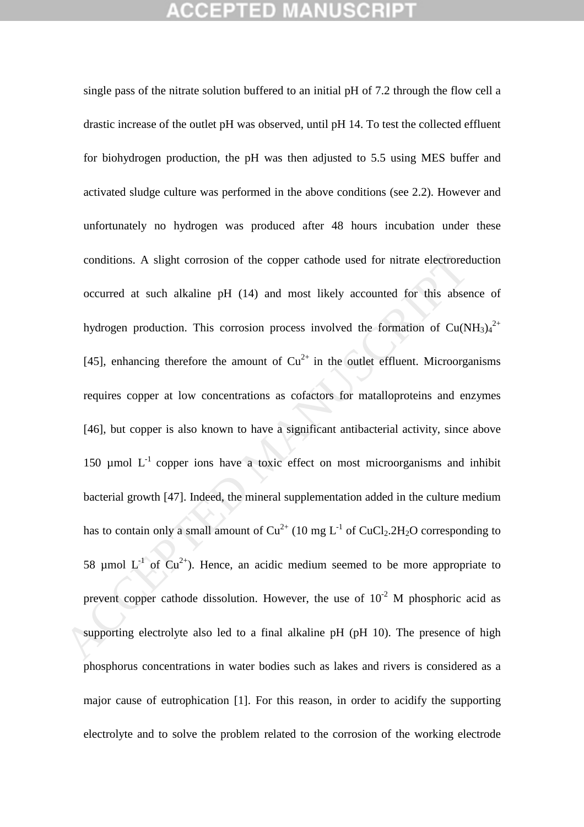single pass of the nitrate solution buffered to an initial pH of 7.2 through the flow cell a drastic increase of the outlet pH was observed, until pH 14. To test the collected effluent for biohydrogen production, the pH was then adjusted to 5.5 using MES buffer and activated sludge culture was performed in the above conditions (see 2.2). However and unfortunately no hydrogen was produced after 48 hours incubation under these conditions. A slight corrosion of the copper cathode used for nitrate electroreduction occurred at such alkaline pH (14) and most likely accounted for this absence of hydrogen production. This corrosion process involved the formation of Cu(NH<sub>3)4</sub><sup>2+</sup> [45], enhancing therefore the amount of  $Cu^{2+}$  in the outlet effluent. Microorganisms requires copper at low concentrations as cofactors for matalloproteins and enzymes [46], but copper is also known to have a significant antibacterial activity, since above 150  $\mu$ mol  $L^{-1}$  copper ions have a toxic effect on most microorganisms and inhibit bacterial growth [47]. Indeed, the mineral supplementation added in the culture medium has to contain only a small amount of  $Cu^{2+}$  (10 mg  $L^{-1}$  of  $CuCl_2.2H_2O$  corresponding to 58 umol  $L^{-1}$  of  $Cu^{2+}$ ). Hence, an acidic medium seemed to be more appropriate to prevent copper cathode dissolution. However, the use of  $10^{-2}$  M phosphoric acid as supporting electrolyte also led to a final alkaline pH (pH 10). The presence of high phosphorus concentrations in water bodies such as lakes and rivers is considered as a major cause of eutrophication [1]. For this reason, in order to acidify the supporting electrolyte and to solve the problem related to the corrosion of the working electrode conditions. A slight corrosion of the copper cathode used for nitrate electrored<br>occurred at such alkaline pH (14) and most likely accounted for this abset<br>hydrogen production. This corrosion process involved the formatio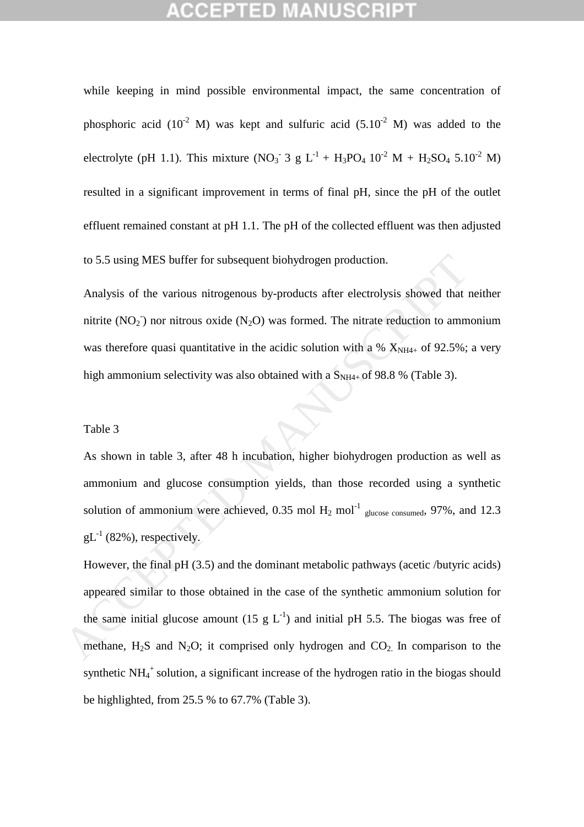while keeping in mind possible environmental impact, the same concentration of phosphoric acid (10<sup>-2</sup> M) was kept and sulfuric acid (5.10<sup>-2</sup> M) was added to the electrolyte (pH 1.1). This mixture (NO<sub>3</sub> 3 g L<sup>-1</sup> + H<sub>3</sub>PO<sub>4</sub> 10<sup>-2</sup> M + H<sub>2</sub>SO<sub>4</sub> 5.10<sup>-2</sup> M) resulted in a significant improvement in terms of final pH, since the pH of the outlet effluent remained constant at pH 1.1. The pH of the collected effluent was then adjusted to 5.5 using MES buffer for subsequent biohydrogen production.

Analysis of the various nitrogenous by-products after electrolysis showed that neither nitrite ( $NO<sub>2</sub>$ ) nor nitrous oxide ( $N<sub>2</sub>O$ ) was formed. The nitrate reduction to ammonium was therefore quasi quantitative in the acidic solution with a %  $X_{NH4+}$  of 92.5%; a very high ammonium selectivity was also obtained with a  $S_{NH4+}$  of 98.8 % (Table 3).

### Table 3

As shown in table 3, after 48 h incubation, higher biohydrogen production as well as ammonium and glucose consumption yields, than those recorded using a synthetic solution of ammonium were achieved, 0.35 mol  $H_2$  mol<sup>-1</sup> glucose consumed, 97%, and 12.3  $gL^{-1}$  (82%), respectively.

However, the final pH (3.5) and the dominant metabolic pathways (acetic /butyric acids) appeared similar to those obtained in the case of the synthetic ammonium solution for the same initial glucose amount (15 g  $L^{-1}$ ) and initial pH 5.5. The biogas was free of methane,  $H_2S$  and  $N_2O$ ; it comprised only hydrogen and  $CO_2$ . In comparison to the synthetic NH<sub>4</sub><sup>+</sup> solution, a significant increase of the hydrogen ratio in the biogas should be highlighted, from 25.5 % to 67.7% (Table 3). to 5.5 using MES buffer for subsequent biohydrogen production.<br>
Analysis of the various nitrogenous by-products after electrolysis showed that i<br>
nitrite (NO<sub>2</sub>) nor nitrous oxide (N<sub>2</sub>O) was formed. The nitrate reduction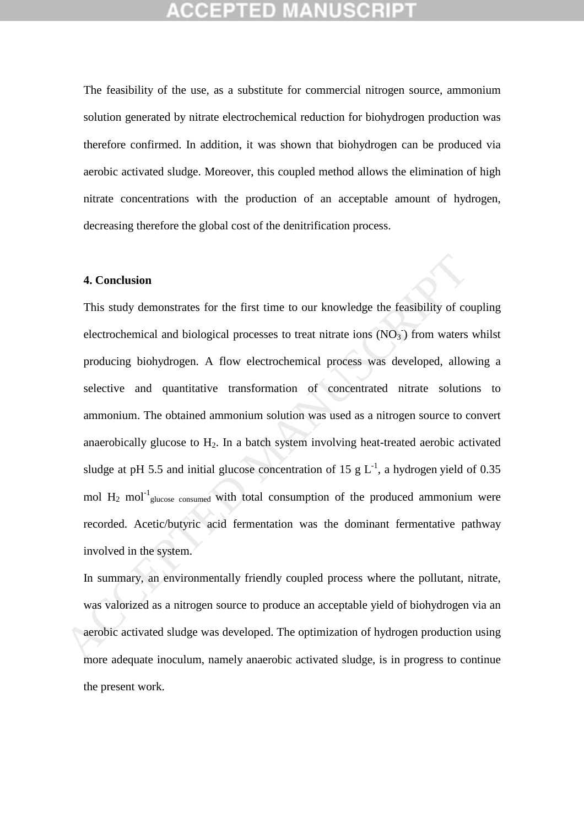The feasibility of the use, as a substitute for commercial nitrogen source, ammonium solution generated by nitrate electrochemical reduction for biohydrogen production was therefore confirmed. In addition, it was shown that biohydrogen can be produced via aerobic activated sludge. Moreover, this coupled method allows the elimination of high nitrate concentrations with the production of an acceptable amount of hydrogen, decreasing therefore the global cost of the denitrification process.

### **4. Conclusion**

This study demonstrates for the first time to our knowledge the feasibility of coupling electrochemical and biological processes to treat nitrate ions  $(NO<sub>3</sub>)$  from waters whilst producing biohydrogen. A flow electrochemical process was developed, allowing a selective and quantitative transformation of concentrated nitrate solutions to ammonium. The obtained ammonium solution was used as a nitrogen source to convert anaerobically glucose to  $H_2$ . In a batch system involving heat-treated aerobic activated sludge at pH 5.5 and initial glucose concentration of 15 g  $L^{-1}$ , a hydrogen yield of 0.35 mol  $H_2$  mol<sup>-1</sup><sub>glucose consumed</sub> with total consumption of the produced ammonium were recorded. Acetic/butyric acid fermentation was the dominant fermentative pathway involved in the system. **4. Conclusion**<br>This study demonstrates for the first time to our knowledge the feasibility of coelectrochemical and biological processes to treat nitrate ions (NO<sub>1</sub>) from waters<br>producing biohydrogen. A flow electrochem

In summary, an environmentally friendly coupled process where the pollutant, nitrate, was valorized as a nitrogen source to produce an acceptable yield of biohydrogen via an aerobic activated sludge was developed. The optimization of hydrogen production using more adequate inoculum, namely anaerobic activated sludge, is in progress to continue the present work.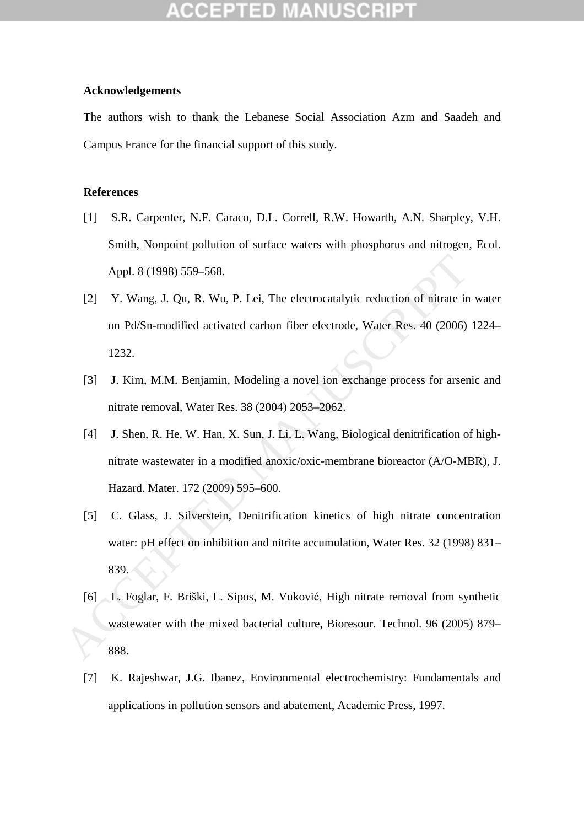### **Acknowledgements**

The authors wish to thank the Lebanese Social Association Azm and Saadeh and Campus France for the financial support of this study.

## **References**

- [1] S.R. Carpenter, N.F. Caraco, D.L. Correll, R.W. Howarth, A.N. Sharpley, V.H. Smith, Nonpoint pollution of surface waters with phosphorus and nitrogen, Ecol. Appl. 8 (1998) 559–568.
- [2] Y. Wang, J. Qu, R. Wu, P. Lei, The electrocatalytic reduction of nitrate in water on Pd/Sn-modified activated carbon fiber electrode, Water Res. 40 (2006) 1224– 1232.
- [3] J. Kim, M.M. Benjamin, Modeling a novel ion exchange process for arsenic and nitrate removal, Water Res. 38 (2004) 2053–2062.
- [4] J. Shen, R. He, W. Han, X. Sun, J. Li, L. Wang, Biological denitrification of highnitrate wastewater in a modified anoxic/oxic-membrane bioreactor (A/O-MBR), J. Hazard. Mater. 172 (2009) 595–600.
- [5] C. Glass, J. Silverstein, Denitrification kinetics of high nitrate concentration water: pH effect on inhibition and nitrite accumulation, Water Res. 32 (1998) 831– 839. Appl. 8 (1998) 559–568.<br>
121 Y. Wang. J. Qu, R. Wu, P. Lei, The electrocatalytic reduction of nitrate in<br>
on Pd/Sn-modified activated carbon fiber electrode, Water Res. 40 (2006)<br>
1232.<br>
131 J. Kim, M.M. Benjamin, Modeling
	- [6] L. Foglar, F. Briški, L. Sipos, M. Vuković, High nitrate removal from synthetic wastewater with the mixed bacterial culture, Bioresour. Technol. 96 (2005) 879– 888.
	- [7] K. Rajeshwar, J.G. Ibanez, Environmental electrochemistry: Fundamentals and applications in pollution sensors and abatement, Academic Press, 1997.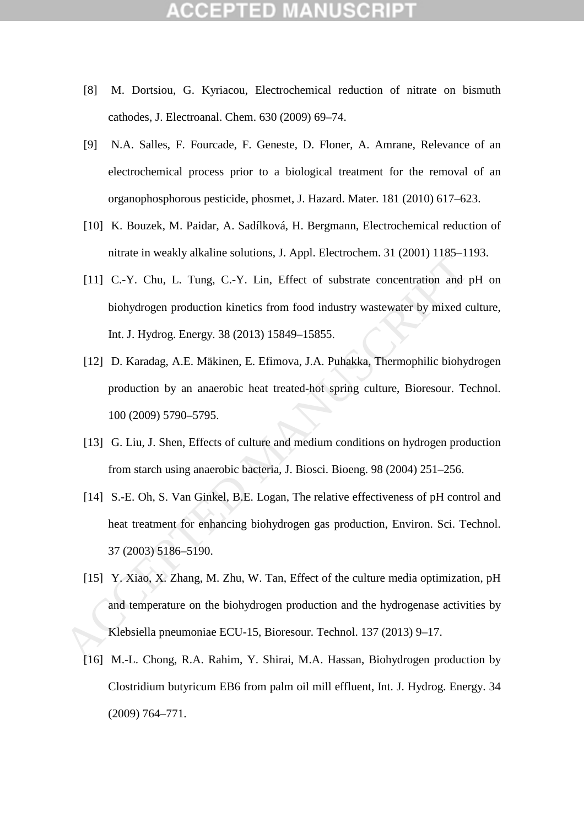- [8] M. Dortsiou, G. Kyriacou, Electrochemical reduction of nitrate on bismuth cathodes, J. Electroanal. Chem. 630 (2009) 69–74.
- [9] N.A. Salles, F. Fourcade, F. Geneste, D. Floner, A. Amrane, Relevance of an electrochemical process prior to a biological treatment for the removal of an organophosphorous pesticide, phosmet, J. Hazard. Mater. 181 (2010) 617–623.
- [10] K. Bouzek, M. Paidar, A. Sadílková, H. Bergmann, Electrochemical reduction of nitrate in weakly alkaline solutions, J. Appl. Electrochem. 31 (2001) 1185–1193.
- [11] C.-Y. Chu, L. Tung, C.-Y. Lin, Effect of substrate concentration and pH on biohydrogen production kinetics from food industry wastewater by mixed culture, Int. J. Hydrog. Energy. 38 (2013) 15849–15855.
- [12] D. Karadag, A.E. Mäkinen, E. Efimova, J.A. Puhakka, Thermophilic biohydrogen production by an anaerobic heat treated-hot spring culture, Bioresour. Technol. 100 (2009) 5790–5795.
- [13] G. Liu, J. Shen, Effects of culture and medium conditions on hydrogen production from starch using anaerobic bacteria, J. Biosci. Bioeng. 98 (2004) 251–256.
- [14] S.-E. Oh, S. Van Ginkel, B.E. Logan, The relative effectiveness of pH control and heat treatment for enhancing biohydrogen gas production, Environ. Sci. Technol. 37 (2003) 5186–5190.
- [15] Y. Xiao, X. Zhang, M. Zhu, W. Tan, Effect of the culture media optimization, pH and temperature on the biohydrogen production and the hydrogenase activities by Klebsiella pneumoniae ECU-15, Bioresour. Technol. 137 (2013) 9–17. maac in weakly ahaline solutions, 3. Appl. Electrochemi. 31 (2001) 1163-1<br>
[11] C.-Y. Chu, L. Tung, C.-Y. Lin, Effect of substrate concentration and<br>
looklydrogen production kinetics from food industry wastewater by mixed
	- [16] M.-L. Chong, R.A. Rahim, Y. Shirai, M.A. Hassan, Biohydrogen production by Clostridium butyricum EB6 from palm oil mill effluent, Int. J. Hydrog. Energy. 34 (2009) 764–771.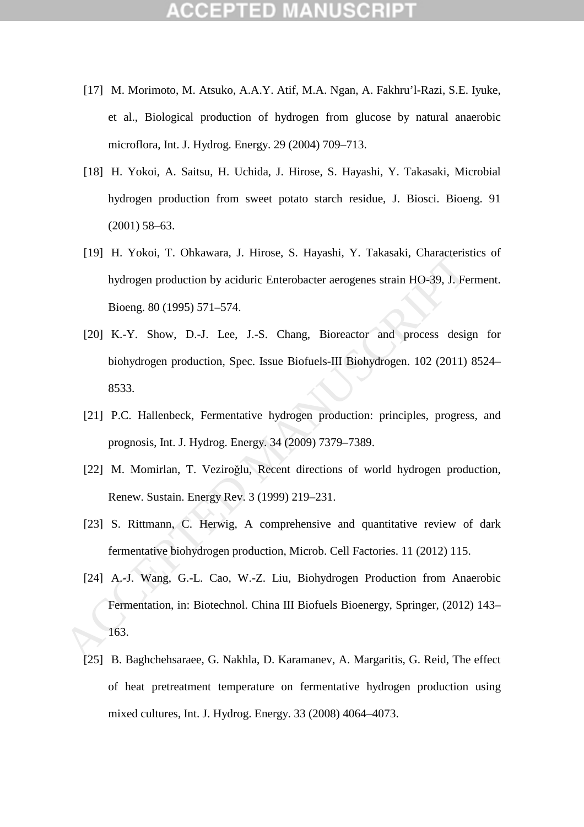- [17] M. Morimoto, M. Atsuko, A.A.Y. Atif, M.A. Ngan, A. Fakhru'l-Razi, S.E. Iyuke, et al., Biological production of hydrogen from glucose by natural anaerobic microflora, Int. J. Hydrog. Energy. 29 (2004) 709–713.
- [18] H. Yokoi, A. Saitsu, H. Uchida, J. Hirose, S. Hayashi, Y. Takasaki, Microbial hydrogen production from sweet potato starch residue, J. Biosci. Bioeng. 91 (2001) 58–63.
- [19] H. Yokoi, T. Ohkawara, J. Hirose, S. Hayashi, Y. Takasaki, Characteristics of hydrogen production by aciduric Enterobacter aerogenes strain HO-39, J. Ferment. Bioeng. 80 (1995) 571–574.
- [20] K.-Y. Show, D.-J. Lee, J.-S. Chang, Bioreactor and process design for biohydrogen production, Spec. Issue Biofuels-III Biohydrogen. 102 (2011) 8524– 8533.
- [21] P.C. Hallenbeck, Fermentative hydrogen production: principles, progress, and prognosis, Int. J. Hydrog. Energy. 34 (2009) 7379–7389.
- [22] M. Momirlan, T. Veziroğlu, Recent directions of world hydrogen production, Renew. Sustain. Energy Rev. 3 (1999) 219–231.
- [23] S. Rittmann, C. Herwig, A comprehensive and quantitative review of dark fermentative biohydrogen production, Microb. Cell Factories. 11 (2012) 115.
- [24] A.-J. Wang, G.-L. Cao, W.-Z. Liu, Biohydrogen Production from Anaerobic Fermentation, in: Biotechnol. China III Biofuels Bioenergy, Springer, (2012) 143– 163. 1.1. 10001, 1.1. Unitawara, 3.1. Hussel, 3.1. Hagashit, 1.1. Hakasakit, Characteris<br>
hydrogen production by aciduric Enterobacter aerogenes strain HO-39, J. Fe<br>
Bioeng. 80 (1995) 571–574.<br>
[20] K.-Y. Show, D.-J. Lee, J.-S.
	- [25] B. Baghchehsaraee, G. Nakhla, D. Karamanev, A. Margaritis, G. Reid, The effect of heat pretreatment temperature on fermentative hydrogen production using mixed cultures, Int. J. Hydrog. Energy. 33 (2008) 4064–4073.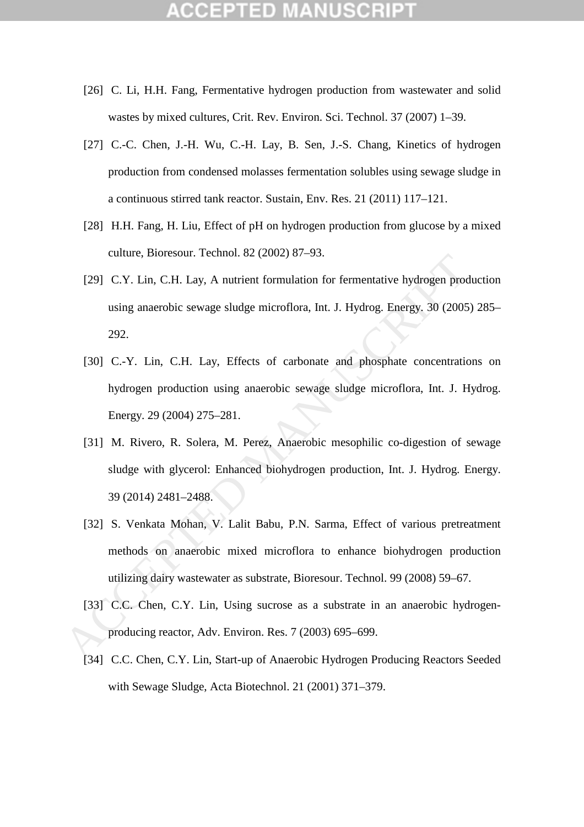- [26] C. Li, H.H. Fang, Fermentative hydrogen production from wastewater and solid wastes by mixed cultures, Crit. Rev. Environ. Sci. Technol. 37 (2007) 1–39.
- [27] C.-C. Chen, J.-H. Wu, C.-H. Lay, B. Sen, J.-S. Chang, Kinetics of hydrogen production from condensed molasses fermentation solubles using sewage sludge in a continuous stirred tank reactor. Sustain, Env. Res. 21 (2011) 117–121.
- [28] H.H. Fang, H. Liu, Effect of pH on hydrogen production from glucose by a mixed culture, Bioresour. Technol. 82 (2002) 87–93.
- [29] C.Y. Lin, C.H. Lay, A nutrient formulation for fermentative hydrogen production using anaerobic sewage sludge microflora, Int. J. Hydrog. Energy. 30 (2005) 285– 292.
- [30] C.-Y. Lin, C.H. Lay, Effects of carbonate and phosphate concentrations on hydrogen production using anaerobic sewage sludge microflora, Int. J. Hydrog. Energy. 29 (2004) 275–281. CALCE III, C.H. Lay, A nutrient formulation for fermentative hydrogen producing anaerobic sewage sludge microflora, Int. J. Hydrog. Energy. 30 (2005<br>292.<br>
(30) C.-Y. Lin, C.H. Lay, Effects of carbonate and phosphate conce
	- [31] M. Rivero, R. Solera, M. Perez, Anaerobic mesophilic co-digestion of sewage sludge with glycerol: Enhanced biohydrogen production, Int. J. Hydrog. Energy. 39 (2014) 2481–2488.
	- [32] S. Venkata Mohan, V. Lalit Babu, P.N. Sarma, Effect of various pretreatment methods on anaerobic mixed microflora to enhance biohydrogen production utilizing dairy wastewater as substrate, Bioresour. Technol. 99 (2008) 59–67.
	- [33] C.C. Chen, C.Y. Lin, Using sucrose as a substrate in an anaerobic hydrogenproducing reactor, Adv. Environ. Res. 7 (2003) 695–699.
	- [34] C.C. Chen, C.Y. Lin, Start-up of Anaerobic Hydrogen Producing Reactors Seeded with Sewage Sludge, Acta Biotechnol. 21 (2001) 371–379.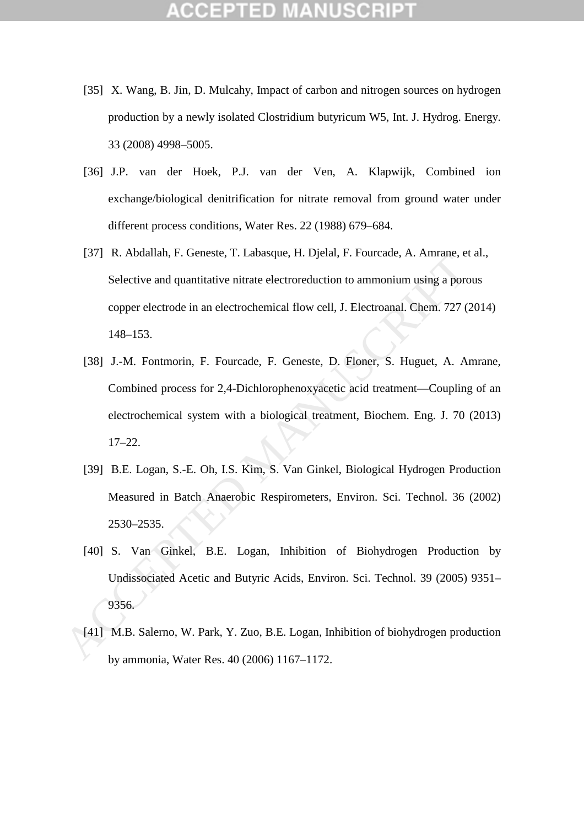- [35] X. Wang, B. Jin, D. Mulcahy, Impact of carbon and nitrogen sources on hydrogen production by a newly isolated Clostridium butyricum W5, Int. J. Hydrog. Energy. 33 (2008) 4998–5005.
- [36] J.P. van der Hoek, P.J. van der Ven, A. Klapwijk, Combined ion exchange/biological denitrification for nitrate removal from ground water under different process conditions, Water Res. 22 (1988) 679–684.
- [37] R. Abdallah, F. Geneste, T. Labasque, H. Djelal, F. Fourcade, A. Amrane, et al., Selective and quantitative nitrate electroreduction to ammonium using a porous copper electrode in an electrochemical flow cell, J. Electroanal. Chem. 727 (2014) 148–153.
- [38] J.-M. Fontmorin, F. Fourcade, F. Geneste, D. Floner, S. Huguet, A. Amrane, Combined process for 2,4-Dichlorophenoxyacetic acid treatment—Coupling of an electrochemical system with a biological treatment, Biochem. Eng. J. 70 (2013) 17–22. 1371 R. Atonanan, F. Contstee, F. Latosque, F. Logan, F. Fourcase, A. Atonas, Celective and quantitative nitrate electroreduction to annonium using a porous<br>copper electrode in an electrochemical flow cell, J. Electroanal.
	- [39] B.E. Logan, S.-E. Oh, I.S. Kim, S. Van Ginkel, Biological Hydrogen Production Measured in Batch Anaerobic Respirometers, Environ. Sci. Technol. 36 (2002) 2530–2535.
	- [40] S. Van Ginkel, B.E. Logan, Inhibition of Biohydrogen Production by Undissociated Acetic and Butyric Acids, Environ. Sci. Technol. 39 (2005) 9351– 9356.
	-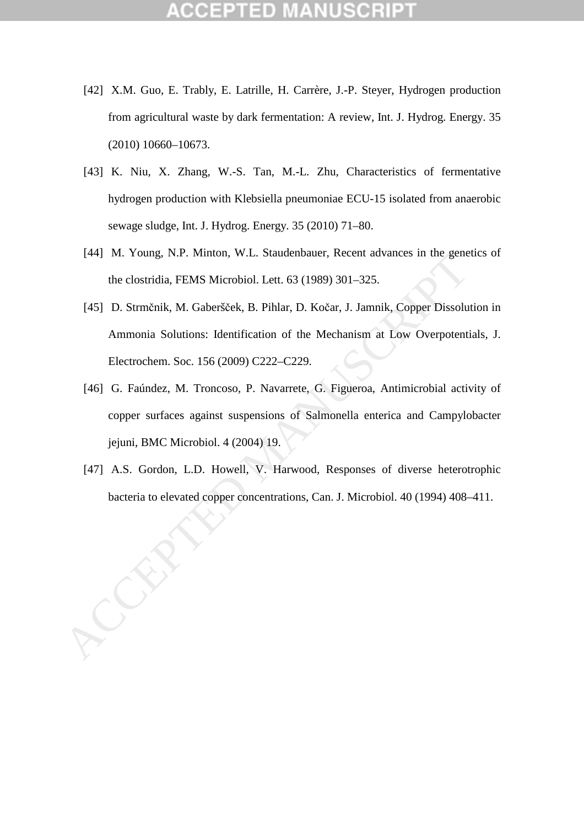- [42] X.M. Guo, E. Trably, E. Latrille, H. Carrère, J.-P. Steyer, Hydrogen production from agricultural waste by dark fermentation: A review, Int. J. Hydrog. Energy. 35 (2010) 10660–10673.
- [43] K. Niu, X. Zhang, W.-S. Tan, M.-L. Zhu, Characteristics of fermentative hydrogen production with Klebsiella pneumoniae ECU-15 isolated from anaerobic sewage sludge, Int. J. Hydrog. Energy. 35 (2010) 71–80.
- [44] M. Young, N.P. Minton, W.L. Staudenbauer, Recent advances in the genetics of the clostridia, FEMS Microbiol. Lett. 63 (1989) 301–325.
- [45] D. Strmčnik, M. Gaberšček, B. Pihlar, D. Kočar, J. Jamnik, Copper Dissolution in Ammonia Solutions: Identification of the Mechanism at Low Overpotentials, J. Electrochem. Soc. 156 (2009) C222–C229. bacteria to elevated copper concentrations, Can. J. Microbiol. Accentrations, Capeter concentration of the Mechanism at Low Overpotentials, Delectrochem. Soc. 156 (2009) C222–C229.<br>
[45] D. Strmčnik, M. Gaberšček, B. Pihla
	- [46] G. Faúndez, M. Troncoso, P. Navarrete, G. Figueroa, Antimicrobial activity of copper surfaces against suspensions of Salmonella enterica and Campylobacter jejuni, BMC Microbiol. 4 (2004) 19.
	- [47] A.S. Gordon, L.D. Howell, V. Harwood, Responses of diverse heterotrophic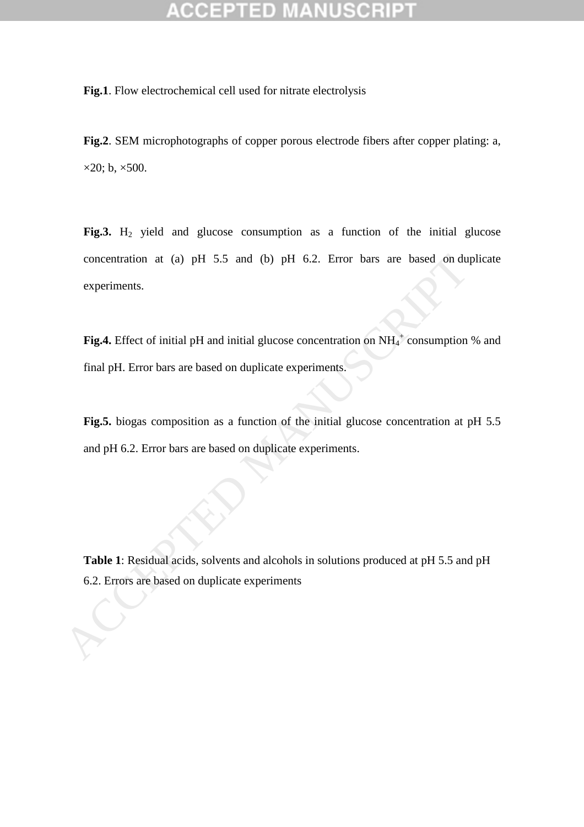**Fig.1**. Flow electrochemical cell used for nitrate electrolysis

**Fig.2**. SEM microphotographs of copper porous electrode fibers after copper plating: a,  $\times$ 20; b,  $\times$ 500.

Fig.3. H<sub>2</sub> yield and glucose consumption as a function of the initial glucose concentration at (a) pH 5.5 and (b) pH 6.2. Error bars are based on duplicate experiments. concentration at (a) pH 5.5 and (b) pH 6.2. Error bars are based on du<br>experiments.<br> **Fig.4.** Effect of initial pH and initial glucose concentration on NH<sub>4</sub><sup>+</sup> consumption<br>
final pH. Error bars are based on duplicate expe

Fig.4. Effect of initial pH and initial glucose concentration on NH<sub>4</sub><sup>+</sup> consumption % and final pH. Error bars are based on duplicate experiments.

**Fig.5.** biogas composition as a function of the initial glucose concentration at pH 5.5 and pH 6.2. Error bars are based on duplicate experiments.

**Table 1**: Residual acids, solvents and alcohols in solutions produced at pH 5.5 and pH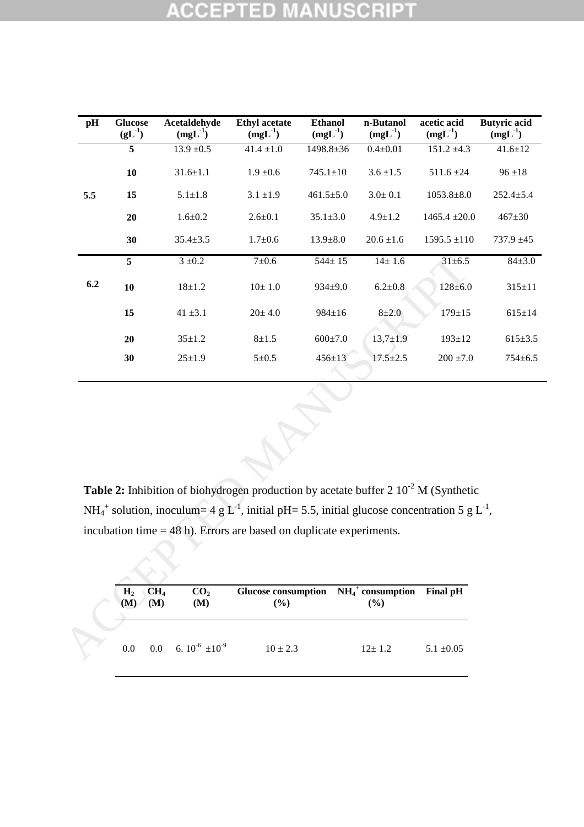### **NUSCRIPT CCEPTED**

| pH                                                                                                                                                                                                                                                                                                                                                                                                                                                                                 | <b>Glucose</b><br>$(gL^{-1})$ |         | Acetaldehyde<br>$(mgL^{-1})$ | <b>Ethyl</b> acetate<br>$(mgL^{-1})$ | <b>Ethanol</b><br>$(mgL^{-1})$ | n-Butanol<br>$(mgL^{-1})$ | acetic acid<br>$(mgL^{-1})$ | <b>Butyric</b> acid<br>$(mgL^{-1})$ |
|------------------------------------------------------------------------------------------------------------------------------------------------------------------------------------------------------------------------------------------------------------------------------------------------------------------------------------------------------------------------------------------------------------------------------------------------------------------------------------|-------------------------------|---------|------------------------------|--------------------------------------|--------------------------------|---------------------------|-----------------------------|-------------------------------------|
|                                                                                                                                                                                                                                                                                                                                                                                                                                                                                    | 5                             |         | $13.9 \pm 0.5$               | $41.4 \pm 1.0$                       | 1498.8±36                      | $0.4 + 0.01$              | $151.2 \pm 4.3$             | $41.6 \pm 12$                       |
|                                                                                                                                                                                                                                                                                                                                                                                                                                                                                    | 10                            |         | $31.6 \pm 1.1$               | $1.9 \pm 0.6$                        | $745.1 \pm 10$                 | $3.6 \pm 1.5$             | $511.6 \pm 24$              | $96 \pm 18$                         |
| 5.5                                                                                                                                                                                                                                                                                                                                                                                                                                                                                | 15                            |         | $5.1 \pm 1.8$                | $3.1 \pm 1.9$                        | $461.5 \pm 5.0$                | $3.0 \pm 0.1$             | $1053.8 \pm 8.0$            | $252.4 \pm 5.4$                     |
|                                                                                                                                                                                                                                                                                                                                                                                                                                                                                    | 20                            |         | $1.6 + 0.2$                  | $2.6 \pm 0.1$                        | $35.1 \pm 3.0$                 | $4.9 \pm 1.2$             | $1465.4 \pm 20.0$           | $467 + 30$                          |
|                                                                                                                                                                                                                                                                                                                                                                                                                                                                                    | 30                            |         | $35.4 \pm 3.5$               | $1.7 + 0.6$                          | $13.9 \pm 8.0$                 | $20.6 \pm 1.6$            | $1595.5 \pm 110$            | $737.9 \pm 45$                      |
|                                                                                                                                                                                                                                                                                                                                                                                                                                                                                    | 5                             |         | $3 \pm 0.2$                  | $7\pm0.6$                            | $544 \pm 15$                   | $14 + 1.6$                | $31 \pm 6.5$                | $84 + 3.0$                          |
| 6.2                                                                                                                                                                                                                                                                                                                                                                                                                                                                                | 10                            |         | $18 + 1.2$                   | $10\pm1.0$                           | $934 \pm 9.0$                  | $6.2 \pm 0.8$             | $128 \pm 6.0$               | $315 \pm 11$                        |
|                                                                                                                                                                                                                                                                                                                                                                                                                                                                                    | 15                            |         | $41 \pm 3.1$                 | $20 \pm 4.0$                         | 984±16                         | $8 + 2.0$                 | $179 + 15$                  | $615 \pm 14$                        |
|                                                                                                                                                                                                                                                                                                                                                                                                                                                                                    | 20                            |         | $35 \pm 1.2$                 | $8 + 1.5$                            | $600 \pm 7.0$                  | $13,7{\pm}1.9$            | $193 \pm 12$                | $615 \pm 3.5$                       |
|                                                                                                                                                                                                                                                                                                                                                                                                                                                                                    | 30                            |         | $25 \pm 1.9$                 | $5 \pm 0.5$                          | $456 \pm 13$                   | $17.5 \pm 2.5$            | $200 \pm 7.0$               | $754 \pm 6.5$                       |
| <b>Table 2:</b> Inhibition of biohydrogen production by acetate buffer 2 $10^{-2}$ M (Synthetic<br>NH <sub>4</sub> <sup>+</sup> solution, inoculum= 4 g L <sup>-1</sup> , initial pH= 5.5, initial glucose concentration 5 g L <sup>-1</sup> ,<br>incubation time $=$ 48 h). Errors are based on duplicate experiments.<br>$NH4+$ consumption<br>CO <sub>2</sub><br><b>Glucose consumption</b><br>Final pH<br>CH <sub>4</sub><br>H <sub>2</sub><br>(%)<br>(M)<br>(M)<br>(M)<br>(%) |                               |         |                              |                                      |                                |                           |                             |                                     |
|                                                                                                                                                                                                                                                                                                                                                                                                                                                                                    |                               |         |                              |                                      |                                |                           |                             |                                     |
|                                                                                                                                                                                                                                                                                                                                                                                                                                                                                    | 0.0                           | $0.0\,$ | 6. $10^{-6} \pm 10^{-9}$     | $10 \pm 2.3$                         |                                | $12 + 1.2$                | $5.1 \pm 0.05$              |                                     |

| H <sub>2</sub><br>(M) | CH <sub>4</sub><br>(M) | CO <sub>2</sub><br>(M)       | Glucose consumption $NH_4^+$ consumption Final pH<br>$($ %) | $\frac{6}{6}$ |                |
|-----------------------|------------------------|------------------------------|-------------------------------------------------------------|---------------|----------------|
|                       |                        |                              |                                                             |               |                |
| 0.0 <sub>1</sub>      |                        | 0.0 6. $10^{-6} \pm 10^{-9}$ | $10 \pm 2.3$                                                | $12+1.2$      | $5.1 \pm 0.05$ |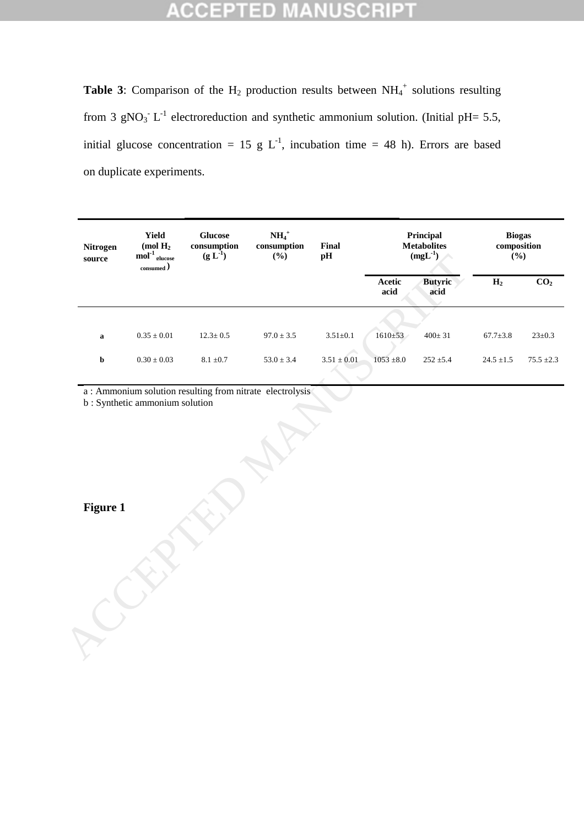### **IUSCRI** 라이 io EPTI

**Table 3:** Comparison of the  $H_2$  production results between  $NH_4^+$  solutions resulting from 3 gNO<sub>3</sub><sup>-</sup> L<sup>-1</sup> electroreduction and synthetic ammonium solution. (Initial pH= 5.5, initial glucose concentration = 15 g  $L^{-1}$ , incubation time = 48 h). Errors are based on duplicate experiments.

| <b>Nitrogen</b><br>source | Yield<br>(mol $H_2$<br>$\operatorname{mol}^{-1}$ glucose<br>$_{\rm consumed})$ | <b>Glucose</b><br>$\bf consumption$<br>$(g L-1)$ | $NH4+$<br>$\bf consumption$<br>(%) | Final<br>pH     | Principal<br><b>Metabolites</b><br>$(mgL^{-1})$ |                        | <b>Biogas</b><br>composition<br>(%) |                   |
|---------------------------|--------------------------------------------------------------------------------|--------------------------------------------------|------------------------------------|-----------------|-------------------------------------------------|------------------------|-------------------------------------|-------------------|
|                           |                                                                                |                                                  |                                    |                 | Acetic<br>acid                                  | <b>Butyric</b><br>acid | $\overline{H_2}$                    | CO <sub>2</sub>   |
|                           |                                                                                |                                                  |                                    |                 |                                                 |                        |                                     |                   |
| $\bf a$                   | $0.35\pm0.01$                                                                  | $12.3 \pm 0.5$                                   | $97.0 \pm 3.5$                     | $3.51{\pm}0.1$  | $1610+53$                                       | $400 \pm 31$           | $67.7 \pm 3.8$                      | $23 \pm 0.3$      |
| $\mathbf b$               | $0.30\pm0.03$                                                                  | $8.1 \; \pm 0.7$                                 | $53.0 \pm 3.4$                     | $3.51 \pm 0.01$ | $1053 \pm 8.0$                                  | $252\pm\!5.4$          | $24.5\pm\!1.5$                      | $75.5\; {\pm}2.3$ |
|                           |                                                                                |                                                  |                                    |                 |                                                 |                        |                                     |                   |
|                           | b: Synthetic ammonium solution                                                 |                                                  |                                    |                 |                                                 |                        |                                     |                   |
|                           |                                                                                |                                                  |                                    |                 |                                                 |                        |                                     |                   |
|                           |                                                                                |                                                  |                                    |                 |                                                 |                        |                                     |                   |
| <b>Figure 1</b>           |                                                                                |                                                  |                                    |                 |                                                 |                        |                                     |                   |
|                           |                                                                                |                                                  |                                    |                 |                                                 |                        |                                     |                   |
|                           |                                                                                |                                                  |                                    |                 |                                                 |                        |                                     |                   |
|                           |                                                                                |                                                  |                                    |                 |                                                 |                        |                                     |                   |
|                           |                                                                                |                                                  |                                    |                 |                                                 |                        |                                     |                   |
|                           |                                                                                |                                                  |                                    |                 |                                                 |                        |                                     |                   |
|                           |                                                                                |                                                  |                                    |                 |                                                 |                        |                                     |                   |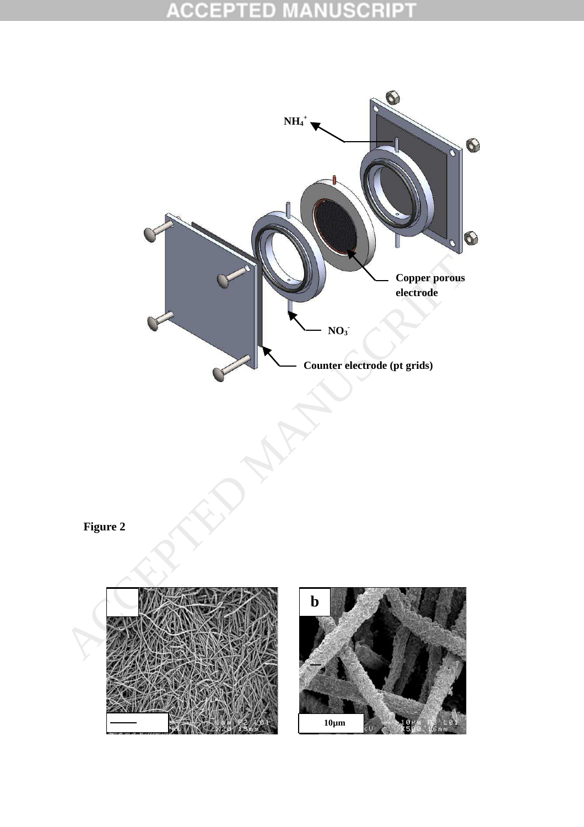### **ACCEPT** Ð E E C

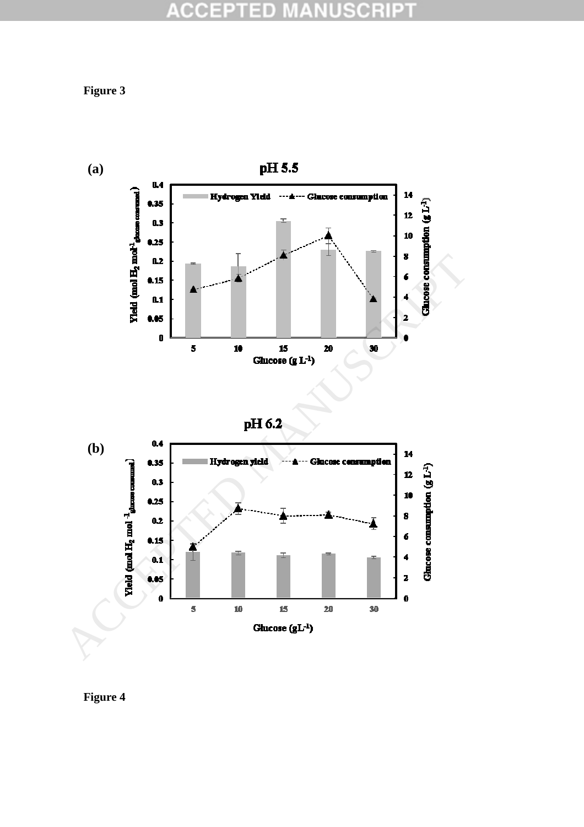### **ACCEPT USCRIPT** ΞĐ ä

**Figure 3** 



**Figure 4**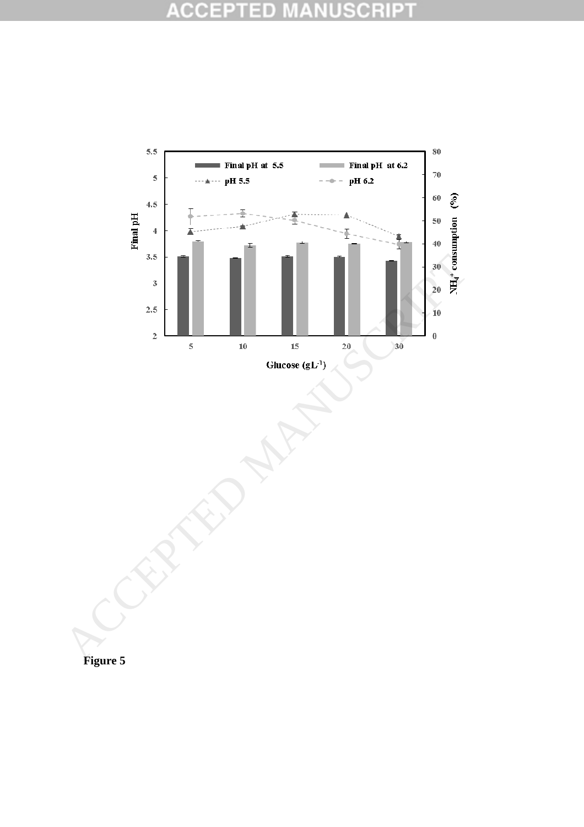